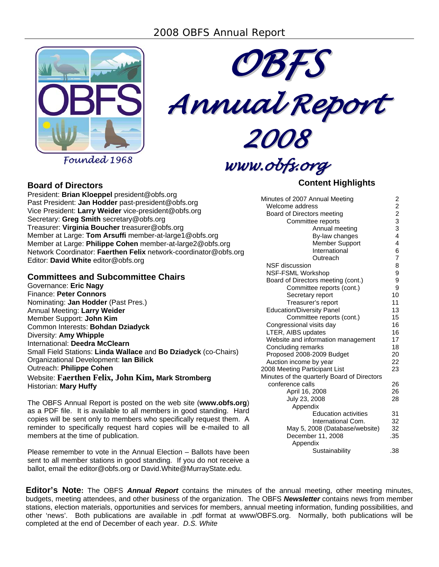

*Founded 1968*



*Annual Report*

*2008*

*www.obfs.org*

# **Content Highlights**

| <b>Board of Directors</b>       |
|---------------------------------|
| President: <b>Rrian Kloenne</b> |

President: **Brian Kloeppel** president@obfs.org Past President: **Jan Hodder** past-president@obfs.org Vice President: **Larry Weider** vice-president@obfs.org Secretary: **Greg Smith** secretary@obfs.org Treasurer: **Virginia Boucher** treasurer@obfs.org Member at Large: **Tom Arsuffi** member-at-large1@obfs.org Member at Large: **Philippe Cohen** member-at-large2@obfs.org Network Coordinator: **Faerthen Felix** network-coordinator@obfs.org Editor: **David White** editor@obfs.org

# **Committees and Subcommittee Chairs**

Governance: **Eric Nagy** Finance: **Peter Connors** Nominating: **Jan Hodder** (Past Pres.) Annual Meeting: **Larry Weider** Member Support: **John Kim** Common Interests: **Bohdan Dziadyck** Diversity: **Amy Whipple** International: **Deedra McClearn** Small Field Stations: **Linda Wallace** and **Bo Dziadyck** (co-Chairs) Organizational Development: **Ian Bilick** Outreach: **Philippe Cohen** Website: **Faerthen Felix, John Kim, Mark Stromberg** Historian: **Mary Huffy**

The OBFS Annual Report is posted on the web site (**www.obfs.org**) as a PDF file. It is available to all members in good standing. Hard copies will be sent only to members who specifically request them. A reminder to specifically request hard copies will be e-mailed to all members at the time of publication.

Please remember to vote in the Annual Election – Ballots have been sent to all member stations in good standing. If you do not receive a ballot, email the editor@obfs.org or David.White@MurrayState.edu.

| Minutes of 2007 Annual Meeting              |             |
|---------------------------------------------|-------------|
| Welcome address                             |             |
| Board of Directors meeting                  |             |
| Committee reports                           | 2 2 2 3 3 4 |
| Annual meeting                              |             |
| By-law changes                              |             |
| <b>Member Support</b>                       | 4           |
| International                               | 6           |
| Outreach                                    | 7           |
| <b>NSF</b> discussion                       | 8           |
| NSF-FSML Workshop                           | 9           |
| Board of Directors meeting (cont.)          | 9           |
| Committee reports (cont.)                   | 9           |
| Secretary report                            | 10          |
| Treasurer's report                          | 11          |
| <b>Education/Diversity Panel</b>            | 13          |
| Committee reports (cont.)                   | 15          |
| Congressional visits day                    | 16          |
| LTER, AIBS updates                          | 16          |
| Website and information management          | 17          |
| Concluding remarks                          |             |
| Proposed 2008-2009 Budget                   | 20          |
| Auction income by year                      | 22          |
| 2008 Meeting Participant List               | 23          |
| Minutes of the quarterly Board of Directors |             |
| conference calls                            | 26          |
| April 16, 2008                              | 26          |
| July 23, 2008                               | 28          |
| Appendix                                    |             |
| <b>Education activities</b>                 | 31          |
| International Com.                          | 32          |
| May 5, 2008 (Database/website)              | 32          |
| December 11, 2008                           | .35         |
| Appendix                                    |             |
| Sustainability                              | .38         |

**Editor's Note:** The OBFS *Annual Report* contains the minutes of the annual meeting, other meeting minutes, budgets, meeting attendees, and other business of the organization. The OBFS *Newsletter* contains news from member stations, election materials, opportunities and services for members, annual meeting information, funding possibilities, and other 'news'. Both publications are available in .pdf format at www/OBFS.org. Normally, both publications will be completed at the end of December of each year. *D.S. White*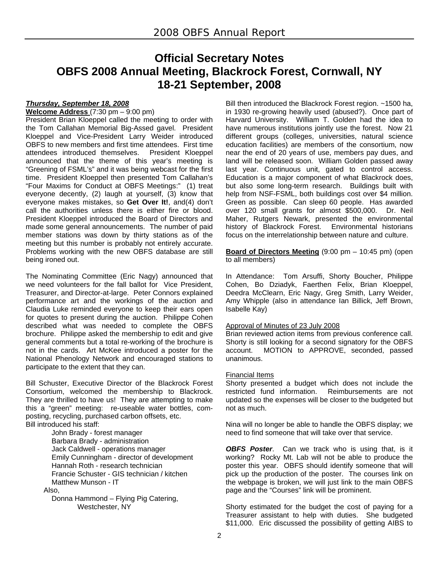# **Official Secretary Notes OBFS 2008 Annual Meeting, Blackrock Forest, Cornwall, NY 18-21 September, 2008**

# *Thursday, September 18, 2008*

**Welcome Address** (7:30 pm – 9:00 pm)

President Brian Kloeppel called the meeting to order with the Tom Callahan Memorial Big-Assed gavel. President Kloeppel and Vice-President Larry Weider introduced OBFS to new members and first time attendees. First time attendees introduced themselves. President Kloeppel announced that the theme of this year's meeting is "Greening of FSML's" and it was being webcast for the first time. President Kloeppel then presented Tom Callahan's "Four Maxims for Conduct at OBFS Meetings:" (1) treat everyone decently, (2) laugh at yourself, (3) know that everyone makes mistakes, so **Get Over It!**, and(4) don't call the authorities unless there is either fire or blood. President Kloeppel introduced the Board of Directors and made some general announcements. The number of paid member stations was down by thirty stations as of the meeting but this number is probably not entirely accurate. Problems working with the new OBFS database are still being ironed out.

The Nominating Committee (Eric Nagy) announced that we need volunteers for the fall ballot for Vice President, Treasurer, and Director-at-large. Peter Connors explained performance art and the workings of the auction and Claudia Luke reminded everyone to keep their ears open for quotes to present during the auction. Philippe Cohen described what was needed to complete the OBFS brochure. Philippe asked the membership to edit and give general comments but a total re-working of the brochure is not in the cards. Art McKee introduced a poster for the National Phenology Network and encouraged stations to participate to the extent that they can.

Bill Schuster, Executive Director of the Blackrock Forest Consortium, welcomed the membership to Blackrock. They are thrilled to have us! They are attempting to make this a "green" meeting: re-useable water bottles, composting, recycling, purchased carbon offsets, etc. Bill introduced his staff:

> John Brady - forest manager Barbara Brady - administration Jack Caldwell - operations manager Emily Cunningham - director of development Hannah Roth - research technician Francie Schuster - GIS technician / kitchen Matthew Munson - IT

Also,

 Donna Hammond – Flying Pig Catering, Westchester, NY

Bill then introduced the Blackrock Forest region. ~1500 ha, in 1930 re-growing heavily used (abused?). Once part of Harvard University. William T. Golden had the idea to have numerous institutions jointly use the forest. Now 21 different groups (colleges, universities, natural science education facilities) are members of the consortium, now near the end of 20 years of use, members pay dues, and land will be released soon. William Golden passed away last year. Continuous unit, gated to control access. Education is a major component of what Blackrock does, but also some long-term research. Buildings built with help from NSF-FSML, both buildings cost over \$4 million. Green as possible. Can sleep 60 people. Has awarded over 120 small grants for almost \$500,000. Dr. Neil Maher, Rutgers Newark, presented the environmental history of Blackrock Forest. Environmental historians focus on the interrelationship between nature and culture.

**Board of Directors Meeting** (9:00 pm – 10:45 pm) (open to all members)

In Attendance:Tom Arsuffi, Shorty Boucher, Philippe Cohen, Bo Dziadyk, Faerthen Felix, Brian Kloeppel, Deedra McClearn, Eric Nagy, Greg Smith, Larry Weider, Amy Whipple (also in attendance Ian Billick, Jeff Brown, Isabelle Kay)

#### Approval of Minutes of 23 July 2008

Brian reviewed action items from previous conference call. Shorty is still looking for a second signatory for the OBFS account. MOTION to APPROVE, seconded, passed unanimous.

#### Financial Items

Shorty presented a budget which does not include the restricted fund information. Reimbursements are not updated so the expenses will be closer to the budgeted but not as much.

Nina will no longer be able to handle the OBFS display; we need to find someone that will take over that service.

**OBFS Poster**. Can we track who is using that, is it working? Rocky Mt. Lab will not be able to produce the poster this year. OBFS should identify someone that will pick up the production of the poster. The courses link on the webpage is broken, we will just link to the main OBFS page and the "Courses" link will be prominent.

Shorty estimated for the budget the cost of paying for a Treasurer assistant to help with duties. She budgeted \$11,000. Eric discussed the possibility of getting AIBS to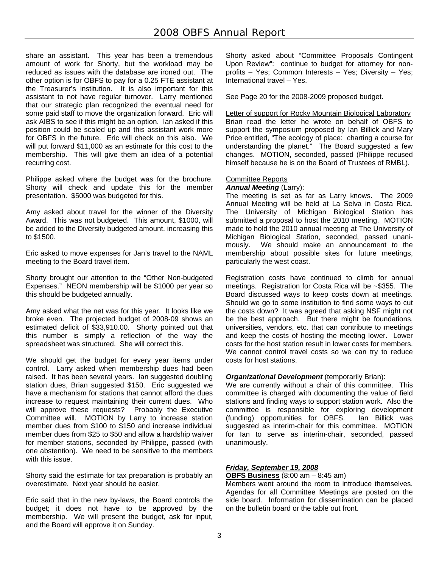share an assistant. This year has been a tremendous amount of work for Shorty, but the workload may be reduced as issues with the database are ironed out. The other option is for OBFS to pay for a 0.25 FTE assistant at the Treasurer's institution. It is also important for this assistant to not have regular turnover. Larry mentioned that our strategic plan recognized the eventual need for some paid staff to move the organization forward. Eric will ask AIBS to see if this might be an option. Ian asked if this position could be scaled up and this assistant work more for OBFS in the future. Eric will check on this also. We will put forward \$11,000 as an estimate for this cost to the membership. This will give them an idea of a potential recurring cost.

Philippe asked where the budget was for the brochure. Shorty will check and update this for the member presentation. \$5000 was budgeted for this.

Amy asked about travel for the winner of the Diversity Award. This was not budgeted. This amount, \$1000, will be added to the Diversity budgeted amount, increasing this to \$1500.

Eric asked to move expenses for Jan's travel to the NAML meeting to the Board travel item.

Shorty brought our attention to the "Other Non-budgeted Expenses." NEON membership will be \$1000 per year so this should be budgeted annually.

Amy asked what the net was for this year. It looks like we broke even. The projected budget of 2008-09 shows an estimated deficit of \$33,910.00. Shorty pointed out that this number is simply a reflection of the way the spreadsheet was structured. She will correct this.

We should get the budget for every year items under control. Larry asked when membership dues had been raised. It has been several years. Ian suggested doubling station dues, Brian suggested \$150. Eric suggested we have a mechanism for stations that cannot afford the dues increase to request maintaining their current dues. Who will approve these requests? Probably the Executive Committee will. MOTION by Larry to increase station member dues from \$100 to \$150 and increase individual member dues from \$25 to \$50 and allow a hardship waiver for member stations, seconded by Philippe, passed (with one abstention). We need to be sensitive to the members with this issue.

Shorty said the estimate for tax preparation is probably an overestimate. Next year should be easier.

Eric said that in the new by-laws, the Board controls the budget; it does not have to be approved by the membership. We will present the budget, ask for input, and the Board will approve it on Sunday.

Shorty asked about "Committee Proposals Contingent Upon Review": continue to budget for attorney for nonprofits – Yes; Common Interests – Yes; Diversity – Yes; International travel – Yes.

See Page 20 for the 2008-2009 proposed budget.

Letter of support for Rocky Mountain Biological Laboratory Brian read the letter he wrote on behalf of OBFS to support the symposium proposed by Ian Billick and Mary Price entitled, "The ecology of place: charting a course for understanding the planet." The Board suggested a few changes. MOTION, seconded, passed (Philippe recused himself because he is on the Board of Trustees of RMBL).

# Committee Reports

*Annual Meeting* (Larry):

The meeting is set as far as Larry knows. The 2009 Annual Meeting will be held at La Selva in Costa Rica. The University of Michigan Biological Station has submitted a proposal to host the 2010 meeting. MOTION made to hold the 2010 annual meeting at The University of Michigan Biological Station, seconded, passed unanimously. We should make an announcement to the membership about possible sites for future meetings, particularly the west coast.

Registration costs have continued to climb for annual meetings. Registration for Costa Rica will be ~\$355. The Board discussed ways to keep costs down at meetings. Should we go to some institution to find some ways to cut the costs down? It was agreed that asking NSF might not be the best approach. But there might be foundations, universities, vendors, etc. that can contribute to meetings and keep the costs of hosting the meeting lower. Lower costs for the host station result in lower costs for members. We cannot control travel costs so we can try to reduce costs for host stations.

#### *Organizational Development* (temporarily Brian):

We are currently without a chair of this committee. This committee is charged with documenting the value of field stations and finding ways to support station work. Also the committee is responsible for exploring development (funding) opportunities for OBFS. Ian Billick was suggested as interim-chair for this committee. MOTION for Ian to serve as interim-chair, seconded, passed unanimously.

# *Friday, September 19, 2008*

**OBFS Business** (8:00 am – 8:45 am)

Members went around the room to introduce themselves. Agendas for all Committee Meetings are posted on the side board. Information for dissemination can be placed on the bulletin board or the table out front.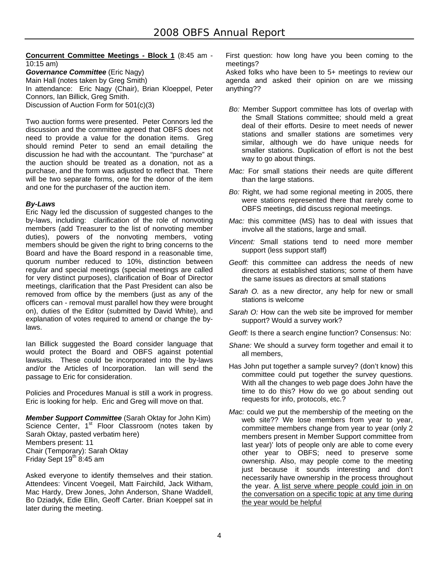#### **Concurrent Committee Meetings - Block 1** (8:45 am - 10:15 am) *Governance Committee* (Eric Nagy)

Main Hall (notes taken by Greg Smith) In attendance: Eric Nagy (Chair), Brian Kloeppel, Peter Connors, Ian Billick, Greg Smith. Discussion of Auction Form for 501(c)(3)

Two auction forms were presented. Peter Connors led the discussion and the committee agreed that OBFS does not need to provide a value for the donation items. Greg should remind Peter to send an email detailing the discussion he had with the accountant. The "purchase" at the auction should be treated as a donation, not as a purchase, and the form was adjusted to reflect that. There will be two separate forms, one for the donor of the item and one for the purchaser of the auction item.

# *By-Laws*

Eric Nagy led the discussion of suggested changes to the by-laws, including: clarification of the role of nonvoting members (add Treasurer to the list of nonvoting member duties), powers of the nonvoting members, voting members should be given the right to bring concerns to the Board and have the Board respond in a reasonable time, quorum number reduced to 10%, distinction between regular and special meetings (special meetings are called for very distinct purposes), clarification of Boar of Director meetings, clarification that the Past President can also be removed from office by the members (just as any of the officers can - removal must parallel how they were brought on), duties of the Editor (submitted by David White), and explanation of votes required to amend or change the bylaws.

Ian Billick suggested the Board consider language that would protect the Board and OBFS against potential lawsuits. These could be incorporated into the by-laws and/or the Articles of Incorporation. Ian will send the passage to Eric for consideration.

Policies and Procedures Manual is still a work in progress. Eric is looking for help. Eric and Greg will move on that.

*Member Support Committee* (Sarah Oktay for John Kim) Science Center, 1<sup>st</sup> Floor Classroom (notes taken by Sarah Oktay, pasted verbatim here) Members present: 11 Chair (Temporary): Sarah Oktay Friday Sept  $19<sup>th</sup> 8:45$  am

Asked everyone to identify themselves and their station. Attendees: Vincent Voegeil, Matt Fairchild, Jack Witham, Mac Hardy, Drew Jones, John Anderson, Shane Waddell, Bo Dziadyk, Edie Ellin, Geoff Carter. Brian Koeppel sat in later during the meeting.

First question: how long have you been coming to the meetings?

Asked folks who have been to 5+ meetings to review our agenda and asked their opinion on are we missing anything??

- *Bo:* Member Support committee has lots of overlap with the Small Stations committee; should meld a great deal of their efforts. Desire to meet needs of newer stations and smaller stations are sometimes very similar, although we do have unique needs for smaller stations. Duplication of effort is not the best way to go about things.
- *Mac:* For small stations their needs are quite different than the large stations.
- *Bo:* Right, we had some regional meeting in 2005, there were stations represented there that rarely come to OBFS meetings, did discuss regional meetings.
- *Mac:* this committee (MS) has to deal with issues that involve all the stations, large and small.
- *Vincent:* Small stations tend to need more member support (less support staff)
- *Geoff:* this committee can address the needs of new directors at established stations; some of them have the same issues as directors at small stations
- *Sarah O.* as a new director, any help for new or small stations is welcome
- *Sarah O:* How can the web site be improved for member support? Would a survey work?
- *Geoff:* Is there a search engine function? Consensus: No:
- *Shane:* We should a survey form together and email it to all members,
- Has John put together a sample survey? (don't know) this committee could put together the survey questions. With all the changes to web page does John have the time to do this? How do we go about sending out requests for info, protocols, etc.?
- *Mac:* could we put the membership of the meeting on the web site?? We lose members from year to year, committee members change from year to year (only 2 members present in Member Support committee from last year)' lots of people only are able to come every other year to OBFS; need to preserve some ownership. Also, may people come to the meeting just because it sounds interesting and don't necessarily have ownership in the process throughout the year. A list serve where people could join in on the conversation on a specific topic at any time during the year would be helpful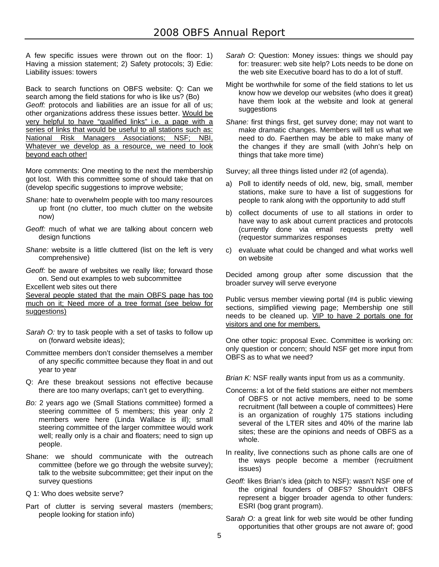A few specific issues were thrown out on the floor: 1) Having a mission statement; 2) Safety protocols; 3) Edie: Liability issues: towers

Back to search functions on OBFS website: Q: Can we search among the field stations for who is like us? (Bo) *Geoff:* protocols and liabilities are an issue for all of us; other organizations address these issues better. Would be very helpful to have "qualified links" i.e. a page with a series of links that would be useful to all stations such as: National Risk Managers Associations; NSF; NBI, Whatever we develop as a resource, we need to look beyond each other!

More comments: One meeting to the next the membership got lost. With this committee some of should take that on (develop specific suggestions to improve website;

- *Shane:* hate to overwhelm people with too many resources up front (no clutter, too much clutter on the website now)
- *Geoff:* much of what we are talking about concern web design functions
- *Shane:* website is a little cluttered (list on the left is very comprehensive)

*Geoff:* be aware of websites we really like; forward those on. Send out examples to web subcommittee

Excellent web sites out there

Several people stated that the main OBFS page has too much on it; Need more of a tree format (see below for suggestions)

- *Sarah O:* try to task people with a set of tasks to follow up on (forward website ideas);
- Committee members don't consider themselves a member of any specific committee because they float in and out year to year
- Q: Are these breakout sessions not effective because there are too many overlaps; can't get to everything.
- *Bo:* 2 years ago we (Small Stations committee) formed a steering committee of 5 members; this year only 2 members were here (Linda Wallace is ill); small steering committee of the larger committee would work well; really only is a chair and floaters; need to sign up people.
- Shane: we should communicate with the outreach committee (before we go through the website survey); talk to the website subcommittee; get their input on the survey questions
- Q 1: Who does website serve?
- Part of clutter is serving several masters (members; people looking for station info)
- *Sarah O:* Question: Money issues: things we should pay for: treasurer: web site help? Lots needs to be done on the web site Executive board has to do a lot of stuff.
- Might be worthwhile for some of the field stations to let us know how we develop our websites (who does it great) have them look at the website and look at general suggestions
- *Shane:* first things first, get survey done; may not want to make dramatic changes. Members will tell us what we need to do. Faerthen may be able to make many of the changes if they are small (with John's help on things that take more time)

Survey; all three things listed under #2 (of agenda).

- a) Poll to identify needs of old, new, big, small, member stations, make sure to have a list of suggestions for people to rank along with the opportunity to add stuff
- b) collect documents of use to all stations in order to have way to ask about current practices and protocols (currently done via email requests pretty well (requestor summarizes responses
- c) evaluate what could be changed and what works well on website

Decided among group after some discussion that the broader survey will serve everyone

Public versus member viewing portal (#4 is public viewing sections, simplified viewing page; Membership one still needs to be cleaned up. VIP to have 2 portals one for visitors and one for members.

One other topic: proposal Exec. Committee is working on: only question or concern; should NSF get more input from OBFS as to what we need?

*Brian K:* NSF really wants input from us as a community.

- Concerns: a lot of the field stations are either not members of OBFS or not active members, need to be some recruitment (fall between a couple of committees) Here is an organization of roughly 175 stations including several of the LTER sites and 40% of the marine lab sites; these are the opinions and needs of OBFS as a whole.
- In reality, live connections such as phone calls are one of the ways people become a member (recruitment issues)
- *Geoff:* likes Brian's idea (pitch to NSF): wasn't NSF one of the original founders of OBFS? Shouldn't OBFS represent a bigger broader agenda to other funders: ESRI (bog grant program).
- Sara*h O:* a great link for web site would be other funding opportunities that other groups are not aware of; good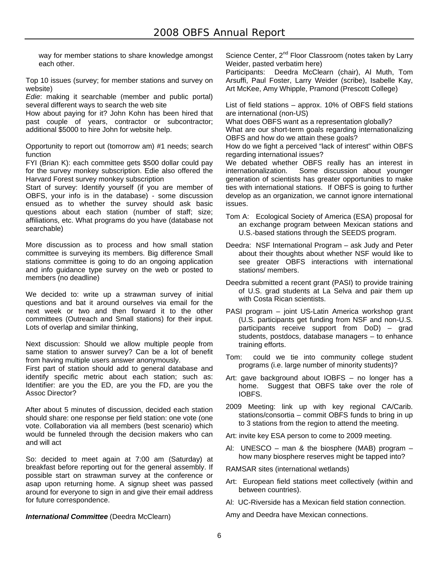way for member stations to share knowledge amongst each other.

Top 10 issues (survey; for member stations and survey on website)

*Edie*: making it searchable (member and public portal) several different ways to search the web site

How about paying for it? John Kohn has been hired that past couple of years, contractor or subcontractor; additional \$5000 to hire John for website help.

Opportunity to report out (tomorrow am) #1 needs; search function

FYI (Brian K): each committee gets \$500 dollar could pay for the survey monkey subscription. Edie also offered the Harvard Forest survey monkey subscription

Start of survey: Identify yourself (if you are member of OBFS, your info is in the database) - some discussion ensued as to whether the survey should ask basic questions about each station (number of staff; size; affiliations, etc. What programs do you have (database not searchable)

More discussion as to process and how small station committee is surveying its members. Big difference Small stations committee is going to do an ongoing application and info guidance type survey on the web or posted to members (no deadline)

We decided to: write up a strawman survey of initial questions and bat it around ourselves via email for the next week or two and then forward it to the other committees (Outreach and Small stations) for their input. Lots of overlap and similar thinking,

Next discussion: Should we allow multiple people from same station to answer survey? Can be a lot of benefit from having multiple users answer anonymously.

First part of station should add to general database and identify specific metric about each station; such as: Identifier: are you the ED, are you the FD, are you the Assoc Director?

After about 5 minutes of discussion, decided each station should share: one response per field station: one vote (one vote. Collaboration via all members (best scenario) which would be funneled through the decision makers who can and will act

So: decided to meet again at 7:00 am (Saturday) at breakfast before reporting out for the general assembly. If possible start on strawman survey at the conference or asap upon returning home. A signup sheet was passed around for everyone to sign in and give their email address for future correspondence.

#### **International Committee** (Deedra McClearn)

Science Center, 2<sup>nd</sup> Floor Classroom (notes taken by Larry Weider, pasted verbatim here)

Participants: Deedra McClearn (chair), Al Muth, Tom Arsuffi, Paul Foster, Larry Weider (scribe), Isabelle Kay, Art McKee, Amy Whipple, Pramond (Prescott College)

List of field stations – approx. 10% of OBFS field stations are international (non-US)

What does OBFS want as a representation globally?

What are our short-term goals regarding internationalizing OBFS and how do we attain these goals?

How do we fight a perceived "lack of interest" within OBFS regarding international issues?

We debated whether OBFS really has an interest in internationalization. Some discussion about younger generation of scientists has greater opportunities to make ties with international stations. If OBFS is going to further develop as an organization, we cannot ignore international issues.

- Tom A: Ecological Society of America (ESA) proposal for an exchange program between Mexican stations and U.S.-based stations through the SEEDS program.
- Deedra: NSF International Program ask Judy and Peter about their thoughts about whether NSF would like to see greater OBFS interactions with international stations/ members.
- Deedra submitted a recent grant (PASI) to provide training of U.S. grad students at La Selva and pair them up with Costa Rican scientists.
- PASI program joint US-Latin America workshop grant (U.S. participants get funding from NSF and non-U.S. participants receive support from DoD) – grad students, postdocs, database managers – to enhance training efforts.
- Tom: could we tie into community college student programs (i.e. large number of minority students)?
- Art: gave background about IOBFS no longer has a home. Suggest that OBFS take over the role of IOBFS.
- 2009 Meeting: link up with key regional CA/Carib. stations/consortia – commit OBFS funds to bring in up to 3 stations from the region to attend the meeting.
- Art: invite key ESA person to come to 2009 meeting.
- Al: UNESCO man & the biosphere (MAB) program how many biosphere reserves might be tapped into?

RAMSAR sites (international wetlands)

- Art: European field stations meet collectively (within and between countries).
- Al: UC-Riverside has a Mexican field station connection.

Amy and Deedra have Mexican connections.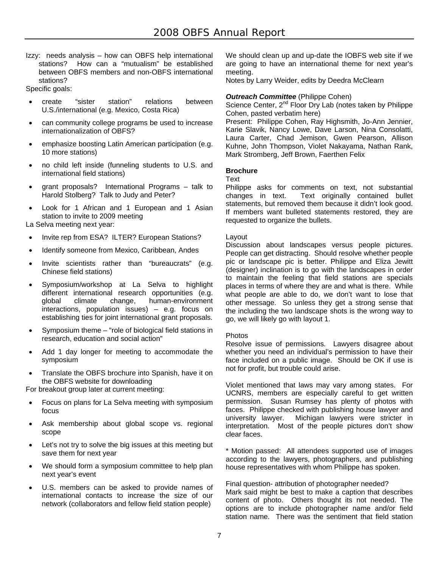Izzy: needs analysis – how can OBFS help international stations? How can a "mutualism" be established between OBFS members and non-OBFS international stations?

Specific goals:

- create "sister station" relations between U.S./international (e.g. Mexico, Costa Rica)
- can community college programs be used to increase internationalization of OBFS?
- emphasize boosting Latin American participation (e.g. 10 more stations)
- no child left inside (funneling students to U.S. and international field stations)
- grant proposals? International Programs talk to Harold Stolberg? Talk to Judy and Peter?
- Look for 1 African and 1 European and 1 Asian station to invite to 2009 meeting

La Selva meeting next year:

- Invite rep from ESA? ILTER? European Stations?
- Identify someone from Mexico, Caribbean, Andes
- Invite scientists rather than "bureaucrats" (e.g. Chinese field stations)
- Symposium/workshop at La Selva to highlight different international research opportunities (e.g. global climate change, human-environment interactions, population issues) – e.g. focus on establishing ties for joint international grant proposals.
- Symposium theme "role of biological field stations in research, education and social action"
- Add 1 day longer for meeting to accommodate the symposium
- Translate the OBFS brochure into Spanish, have it on the OBFS website for downloading

For breakout group later at current meeting:

- Focus on plans for La Selva meeting with symposium focus
- Ask membership about global scope vs. regional scope
- Let's not try to solve the big issues at this meeting but save them for next year
- We should form a symposium committee to help plan next year's event
- U.S. members can be asked to provide names of international contacts to increase the size of our network (collaborators and fellow field station people)

We should clean up and up-date the IOBFS web site if we are going to have an international theme for next year's meeting.

Notes by Larry Weider, edits by Deedra McClearn

# *Outreach Committee* (Philippe Cohen)

Science Center, 2<sup>nd</sup> Floor Dry Lab (notes taken by Philippe Cohen, pasted verbatim here)

Present: Philippe Cohen, Ray Highsmith, Jo-Ann Jennier, Karie Slavik, Nancy Lowe, Dave Larson, Nina Consolatti, Laura Carter, Chad Jemison, Gwen Pearson, Allison Kuhne, John Thompson, Violet Nakayama, Nathan Rank, Mark Stromberg, Jeff Brown, Faerthen Felix

#### **Brochure**

Text

Philippe asks for comments on text, not substantial changes in text. Text originally contained bullet statements, but removed them because it didn't look good. If members want bulleted statements restored, they are requested to organize the bullets.

#### Layout

Discussion about landscapes versus people pictures. People can get distracting. Should resolve whether people pic or landscape pic is better. Philippe and Eliza Jewitt (designer) inclination is to go with the landscapes in order to maintain the feeling that field stations are specials places in terms of where they are and what is there. While what people are able to do, we don't want to lose that other message. So unless they get a strong sense that the including the two landscape shots is the wrong way to go, we will likely go with layout 1.

#### Photos

Resolve issue of permissions. Lawyers disagree about whether you need an individual's permission to have their face included on a public image. Should be OK if use is not for profit, but trouble could arise.

Violet mentioned that laws may vary among states. For UCNRS, members are especially careful to get written permission. Susan Rumsey has plenty of photos with faces. Philippe checked with publishing house lawyer and university lawyer. Michigan lawyers were stricter in interpretation. Most of the people pictures don't show clear faces.

\* Motion passed: All attendees supported use of images according to the lawyers, photographers, and publishing house representatives with whom Philippe has spoken.

#### Final question- attribution of photographer needed?

Mark said might be best to make a caption that describes content of photo. Others thought its not needed. The options are to include photographer name and/or field station name. There was the sentiment that field station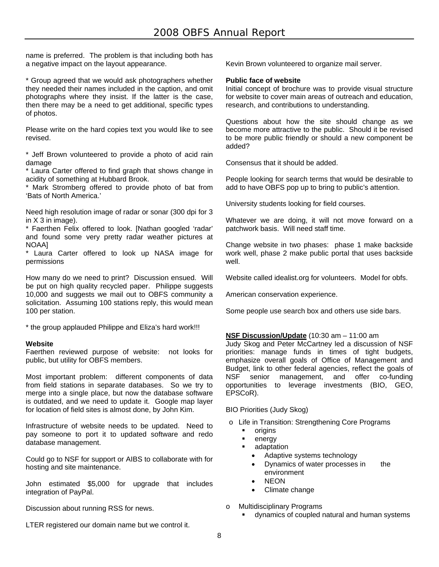name is preferred. The problem is that including both has a negative impact on the layout appearance.

\* Group agreed that we would ask photographers whether they needed their names included in the caption, and omit photographs where they insist. If the latter is the case, then there may be a need to get additional, specific types of photos.

Please write on the hard copies text you would like to see revised.

\* Jeff Brown volunteered to provide a photo of acid rain damage

\* Laura Carter offered to find graph that shows change in acidity of something at Hubbard Brook.

\* Mark Stromberg offered to provide photo of bat from 'Bats of North America.'

Need high resolution image of radar or sonar (300 dpi for 3 in X 3 in image).

\* Faerthen Felix offered to look. [Nathan googled 'radar' and found some very pretty radar weather pictures at NOAA]

\* Laura Carter offered to look up NASA image for permissions

How many do we need to print? Discussion ensued. Will be put on high quality recycled paper. Philippe suggests 10,000 and suggests we mail out to OBFS community a solicitation. Assuming 100 stations reply, this would mean 100 per station.

\* the group applauded Philippe and Eliza's hard work!!!

#### **Website**

Faerthen reviewed purpose of website: not looks for public, but utility for OBFS members.

Most important problem: different components of data from field stations in separate databases. So we try to merge into a single place, but now the database software is outdated, and we need to update it. Google map layer for location of field sites is almost done, by John Kim.

Infrastructure of website needs to be updated. Need to pay someone to port it to updated software and redo database management.

Could go to NSF for support or AIBS to collaborate with for hosting and site maintenance.

John estimated \$5,000 for upgrade that includes integration of PayPal.

Discussion about running RSS for news.

LTER registered our domain name but we control it.

Kevin Brown volunteered to organize mail server.

#### **Public face of website**

Initial concept of brochure was to provide visual structure for website to cover main areas of outreach and education, research, and contributions to understanding.

Questions about how the site should change as we become more attractive to the public. Should it be revised to be more public friendly or should a new component be added?

Consensus that it should be added.

People looking for search terms that would be desirable to add to have OBFS pop up to bring to public's attention.

University students looking for field courses.

Whatever we are doing, it will not move forward on a patchwork basis. Will need staff time.

Change website in two phases: phase 1 make backside work well, phase 2 make public portal that uses backside well.

Website called idealist.org for volunteers. Model for obfs.

American conservation experience.

Some people use search box and others use side bars.

# **NSF Discussion/Update** (10:30 am – 11:00 am

Judy Skog and Peter McCartney led a discussion of NSF priorities: manage funds in times of tight budgets, emphasize overall goals of Office of Management and Budget, link to other federal agencies, reflect the goals of NSF senior management, and offer co-funding opportunities to leverage investments (BIO, GEO, EPSCoR).

BIO Priorities (Judy Skog)

- o Life in Transition: Strengthening Core Programs
	- **u** origins
	- energy
	- **adaptation** 
		- Adaptive systems technology
		- Dynamics of water processes in the environment
			- NEON
		- Climate change
- o Multidisciplinary Programs
	- dynamics of coupled natural and human systems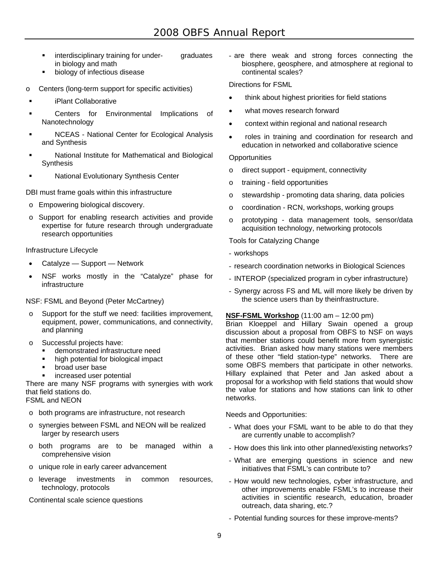- **EXECUTE:** interdisciplinary training for under- graduates in biology and math
- biology of infectious disease
- o Centers (long-term support for specific activities)
- iPlant Collaborative
- Centers for Environmental Implications of Nanotechnology
- NCEAS National Center for Ecological Analysis and Synthesis
- National Institute for Mathematical and Biological Synthesis
- National Evolutionary Synthesis Center

DBI must frame goals within this infrastructure

- o Empowering biological discovery.
- o Support for enabling research activities and provide expertise for future research through undergraduate research opportunities

Infrastructure Lifecycle

- Catalyze Support Network
- NSF works mostly in the "Catalyze" phase for infrastructure

NSF: FSML and Beyond (Peter McCartney)

- o Support for the stuff we need: facilities improvement, equipment, power, communications, and connectivity, and planning
- o Successful projects have:
	- demonstrated infrastructure need
	- high potential for biological impact
	- **•** broad user base
	- **EXEC** increased user potential

There are many NSF programs with synergies with work that field stations do. FSML and NEON

- o both programs are infrastructure, not research
- o synergies between FSML and NEON will be realized larger by research users
- o both programs are to be managed within a comprehensive vision
- o unique role in early career advancement
- o leverage investments in common resources, technology, protocols

Continental scale science questions

- are there weak and strong forces connecting the biosphere, geosphere, and atmosphere at regional to continental scales?

Directions for FSML

- think about highest priorities for field stations
- what moves research forward
- context within regional and national research
- roles in training and coordination for research and education in networked and collaborative science

# **Opportunities**

- o direct support equipment, connectivity
- o training field opportunities
- o stewardship promoting data sharing, data policies
- o coordination RCN, workshops, working groups
- o prototyping data management tools, sensor/data acquisition technology, networking protocols

Tools for Catalyzing Change

- workshops
- research coordination networks in Biological Sciences
- INTEROP (specialized program in cyber infrastructure)
- Synergy across FS and ML will more likely be driven by the science users than by theinfrastructure.

#### **NSF-FSML Workshop** (11:00 am – 12:00 pm)

Brian Kloeppel and Hillary Swain opened a group discussion about a proposal from OBFS to NSF on ways that member stations could benefit more from synergistic activities. Brian asked how many stations were members of these other "field station-type" networks. There are some OBFS members that participate in other networks. Hillary explained that Peter and Jan asked about a proposal for a workshop with field stations that would show the value for stations and how stations can link to other networks.

Needs and Opportunities:

- What does your FSML want to be able to do that they are currently unable to accomplish?
- How does this link into other planned/existing networks?
- What are emerging questions in science and new initiatives that FSML's can contribute to?
- How would new technologies, cyber infrastructure, and other improvements enable FSML's to increase their activities in scientific research, education, broader outreach, data sharing, etc.?
- Potential funding sources for these improve-ments?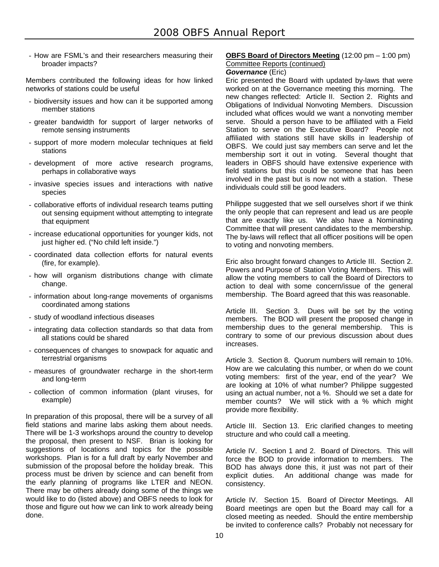- How are FSML's and their researchers measuring their broader impacts?

Members contributed the following ideas for how linked networks of stations could be useful

- biodiversity issues and how can it be supported among member stations
- greater bandwidth for support of larger networks of remote sensing instruments
- support of more modern molecular techniques at field stations
- development of more active research programs, perhaps in collaborative ways
- invasive species issues and interactions with native species
- collaborative efforts of individual research teams putting out sensing equipment without attempting to integrate that equipment
- increase educational opportunities for younger kids, not just higher ed. ("No child left inside.")
- coordinated data collection efforts for natural events (fire, for example).
- how will organism distributions change with climate change.
- information about long-range movements of organisms coordinated among stations
- study of woodland infectious diseases
- integrating data collection standards so that data from all stations could be shared
- consequences of changes to snowpack for aquatic and terrestrial organisms
- measures of groundwater recharge in the short-term and long-term
- collection of common information (plant viruses, for example)

In preparation of this proposal, there will be a survey of all field stations and marine labs asking them about needs. There will be 1-3 workshops around the country to develop the proposal, then present to NSF. Brian is looking for suggestions of locations and topics for the possible workshops. Plan is for a full draft by early November and submission of the proposal before the holiday break. This process must be driven by science and can benefit from the early planning of programs like LTER and NEON. There may be others already doing some of the things we would like to do (listed above) and OBFS needs to look for those and figure out how we can link to work already being done.

# **OBFS Board of Directors Meeting** (12:00 pm – 1:00 pm)

# Committee Reports (continued)

*Governance* (Eric)

Eric presented the Board with updated by-laws that were worked on at the Governance meeting this morning. The new changes reflected: Article II. Section 2. Rights and Obligations of Individual Nonvoting Members. Discussion included what offices would we want a nonvoting member serve. Should a person have to be affiliated with a Field Station to serve on the Executive Board? People not affiliated with stations still have skills in leadership of OBFS. We could just say members can serve and let the membership sort it out in voting. Several thought that leaders in OBFS should have extensive experience with field stations but this could be someone that has been involved in the past but is now not with a station. These individuals could still be good leaders.

Philippe suggested that we sell ourselves short if we think the only people that can represent and lead us are people that are exactly like us. We also have a Nominating Committee that will present candidates to the membership. The by-laws will reflect that all officer positions will be open to voting and nonvoting members.

Eric also brought forward changes to Article III. Section 2. Powers and Purpose of Station Voting Members. This will allow the voting members to call the Board of Directors to action to deal with some concern/issue of the general membership. The Board agreed that this was reasonable.

Article III. Section 3. Dues will be set by the voting members. The BOD will present the proposed change in membership dues to the general membership. This is contrary to some of our previous discussion about dues increases.

Article 3. Section 8. Quorum numbers will remain to 10%. How are we calculating this number, or when do we count voting members: first of the year, end of the year? We are looking at 10% of what number? Philippe suggested using an actual number, not a %. Should we set a date for member counts? We will stick with a % which might provide more flexibility.

Article III. Section 13. Eric clarified changes to meeting structure and who could call a meeting.

Article IV. Section 1 and 2. Board of Directors. This will force the BOD to provide information to members. The BOD has always done this, it just was not part of their explicit duties. An additional change was made for consistency.

Article IV. Section 15. Board of Director Meetings. All Board meetings are open but the Board may call for a closed meeting as needed. Should the entire membership be invited to conference calls? Probably not necessary for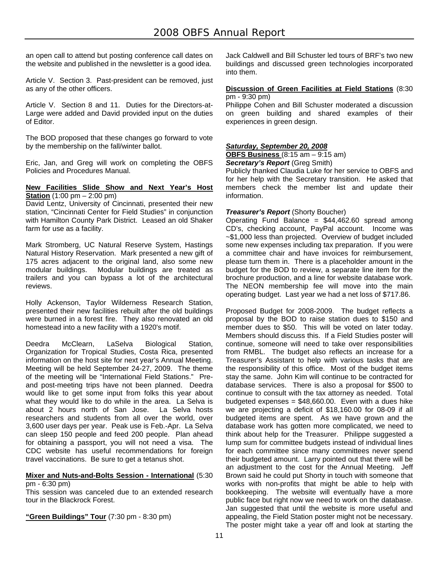an open call to attend but posting conference call dates on the website and published in the newsletter is a good idea.

Article V. Section 3. Past-president can be removed, just as any of the other officers.

Article V. Section 8 and 11. Duties for the Directors-at-Large were added and David provided input on the duties of Editor.

The BOD proposed that these changes go forward to vote by the membership on the fall/winter ballot.

Eric, Jan, and Greg will work on completing the OBFS Policies and Procedures Manual.

#### **New Facilities Slide Show and Next Year's Host Station** (1:00 pm – 2:00 pm)

David Lentz, University of Cincinnati, presented their new station, "Cincinnati Center for Field Studies" in conjunction with Hamilton County Park District. Leased an old Shaker farm for use as a facility.

Mark Stromberg, UC Natural Reserve System, Hastings Natural History Reservation. Mark presented a new gift of 175 acres adjacent to the original land, also some new modular buildings. Modular buildings are treated as trailers and you can bypass a lot of the architectural reviews.

Holly Ackenson, Taylor Wilderness Research Station, presented their new facilities rebuilt after the old buildings were burned in a forest fire. They also renovated an old homestead into a new facility with a 1920's motif.

Deedra McClearn, LaSelva Biological Station, Organization for Tropical Studies, Costa Rica, presented information on the host site for next year's Annual Meeting. Meeting will be held September 24-27, 2009. The theme of the meeting will be "International Field Stations." Preand post-meeting trips have not been planned. Deedra would like to get some input from folks this year about what they would like to do while in the area. La Selva is about 2 hours north of San Jose. La Selva hosts researchers and students from all over the world, over 3,600 user days per year. Peak use is Feb.-Apr. La Selva can sleep 150 people and feed 200 people. Plan ahead for obtaining a passport, you will not need a visa. The CDC website has useful recommendations for foreign travel vaccinations. Be sure to get a tetanus shot.

#### **Mixer and Nuts-and-Bolts Session - International** (5:30 pm - 6:30 pm)

This session was canceled due to an extended research tour in the Blackrock Forest.

**"Green Buildings" Tour** (7:30 pm - 8:30 pm)

Jack Caldwell and Bill Schuster led tours of BRF's two new buildings and discussed green technologies incorporated into them.

#### **Discussion of Green Facilities at Field Stations** (8:30 pm - 9:30 pm)

Philippe Cohen and Bill Schuster moderated a discussion on green building and shared examples of their experiences in green design.

# *Saturday, September 20, 2008*

**OBFS Business** (8:15 am – 9:15 am)

#### *Secretary's Report* (Greg Smith)

Publicly thanked Claudia Luke for her service to OBFS and for her help with the Secretary transition. He asked that members check the member list and update their information.

# *Treasurer's Report* (Shorty Boucher)

Operating Fund Balance =  $$44,462.60$  spread among CD's, checking account, PayPal account. Income was ~\$1,000 less than projected. Overview of budget included some new expenses including tax preparation. If you were a committee chair and have invoices for reimbursement, please turn them in. There is a placeholder amount in the budget for the BOD to review, a separate line item for the brochure production, and a line for website database work. The NEON membership fee will move into the main operating budget. Last year we had a net loss of \$717.86.

Proposed Budget for 2008-2009. The budget reflects a proposal by the BOD to raise station dues to \$150 and member dues to \$50. This will be voted on later today. Members should discuss this. If a Field Studies poster will continue, someone will need to take over responsibilities from RMBL. The budget also reflects an increase for a Treasurer's Assistant to help with various tasks that are the responsibility of this office. Most of the budget items stay the same. John Kim will continue to be contracted for database services. There is also a proposal for \$500 to continue to consult with the tax attorney as needed. Total budgeted expenses =  $$48,660.00$ . Even with a dues hike we are projecting a deficit of \$18,160.00 for 08-09 if all budgeted items are spent. As we have grown and the database work has gotten more complicated, we need to think about help for the Treasurer. Philippe suggested a lump sum for committee budgets instead of individual lines for each committee since many committees never spend their budgeted amount. Larry pointed out that there will be an adjustment to the cost for the Annual Meeting. Jeff Brown said he could put Shorty in touch with someone that works with non-profits that might be able to help with bookkeeping. The website will eventually have a more public face but right now we need to work on the database. Jan suggested that until the website is more useful and appealing, the Field Station poster might not be necessary. The poster might take a year off and look at starting the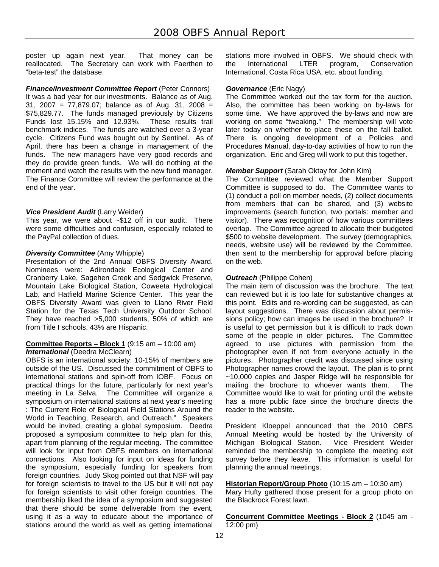poster up again next year. That money can be reallocated. The Secretary can work with Faerthen to "beta-test" the database.

# *Finance/Investment Committee Report* (Peter Connors)

It was a bad year for our investments. Balance as of Aug. 31, 2007 = 77,879.07; balance as of Aug. 31, 2008 = \$75,829.77. The funds managed previously by Citizens Funds lost 15.15% and 12.93%. These results trail benchmark indices. The funds are watched over a 3-year cycle. Citizens Fund was bought out by Sentinel. As of April, there has been a change in management of the funds. The new managers have very good records and they do provide green funds. We will do nothing at the moment and watch the results with the new fund manager. The Finance Committee will review the performance at the end of the year.

# *Vice President Audit* (Larry Weider)

This year, we were about ~\$12 off in our audit. There were some difficulties and confusion, especially related to the PayPal collection of dues.

# *Diversity Committee* (Amy Whipple)

Presentation of the 2nd Annual OBFS Diversity Award. Nominees were: Adirondack Ecological Center and Cranberry Lake, Sagehen Creek and Sedgwick Preserve, Mountain Lake Biological Station, Coweeta Hydrological Lab, and Hatfield Marine Science Center. This year the OBFS Diversity Award was given to Llano River Field Station for the Texas Tech University Outdoor School. They have reached >5,000 students, 50% of which are from Title I schools, 43% are Hispanic.

#### **Committee Reports – Block 1** (9:15 am – 10:00 am) **International** (Deedra McClearn)

OBFS is an international society: 10-15% of members are outside of the US. Discussed the commitment of OBFS to international stations and spin-off from IOBF. Focus on practical things for the future, particularly for next year's meeting in La Selva. The Committee will organize a symposium on international stations at next year's meeting : The Current Role of Biological Field Stations Around the World in Teaching, Research, and Outreach." Speakers would be invited, creating a global symposium. Deedra proposed a symposium committee to help plan for this, apart from planning of the regular meeting. The committee will look for input from OBFS members on international connections. Also looking for input on ideas for funding the symposium, especially funding for speakers from foreign countries. Judy Skog pointed out that NSF will pay for foreign scientists to travel to the US but it will not pay for foreign scientists to visit other foreign countries. The membership liked the idea of a symposium and suggested that there should be some deliverable from the event, using it as a way to educate about the importance of stations around the world as well as getting international

stations more involved in OBFS. We should check with the International LTER program, Conservation International, Costa Rica USA, etc. about funding.

# *Governance* (Eric Nagy)

The Committee worked out the tax form for the auction. Also, the committee has been working on by-laws for some time. We have approved the by-laws and now are working on some "tweaking." The membership will vote later today on whether to place these on the fall ballot. There is ongoing development of a Policies and Procedures Manual, day-to-day activities of how to run the organization. Eric and Greg will work to put this together.

# *Member Support* (Sarah Oktay for John Kim)

The Committee reviewed what the Member Support Committee is supposed to do. The Committee wants to (1) conduct a poll on member needs, (2) collect documents from members that can be shared, and (3) website improvements (search function, two portals: member and visitor). There was recognition of how various committees overlap. The Committee agreed to allocate their budgeted \$500 to website development. The survey (demographics, needs, website use) will be reviewed by the Committee, then sent to the membership for approval before placing on the web.

# *Outreach* (Philippe Cohen)

The main item of discussion was the brochure. The text can reviewed but it is too late for substantive changes at this point. Edits and re-wording can be suggested, as can layout suggestions. There was discussion about permissions policy; how can images be used in the brochure? It is useful to get permission but it is difficult to track down some of the people in older pictures. The Committee agreed to use pictures with permission from the photographer even if not from everyone actually in the pictures. Photographer credit was discussed since using Photographer names crowd the layout. The plan is to print ~10,000 copies and Jasper Ridge will be responsible for mailing the brochure to whoever wants them. The Committee would like to wait for printing until the website has a more public face since the brochure directs the reader to the website.

President Kloeppel announced that the 2010 OBFS Annual Meeting would be hosted by the University of Michigan Biological Station. reminded the membership to complete the meeting exit survey before they leave. This information is useful for planning the annual meetings.

#### **Historian Report/Group Photo** (10:15 am – 10:30 am)

Mary Hufty gathered those present for a group photo on the Blackrock Forest lawn.

**Concurrent Committee Meetings - Block 2** (1045 am - 12:00 pm)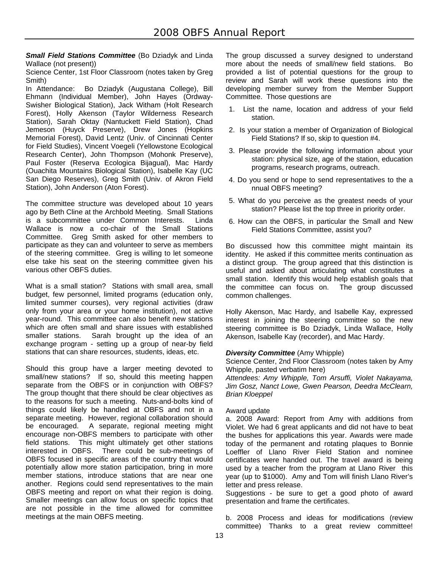*Small Field Stations Committee* (Bo Dziadyk and Linda Wallace (not present))

Science Center, 1st Floor Classroom (notes taken by Greg Smith)

In Attendance: Bo Dziadyk (Augustana College), Bill Ehmann (Individual Member), John Hayes (Ordway-Swisher Biological Station), Jack Witham (Holt Research Forest), Holly Akenson (Taylor Wilderness Research Station), Sarah Oktay (Nantuckett Field Station), Chad Jemeson (Huyck Preserve), Drew Jones (Hopkins Memorial Forest), David Lentz (Univ. of Cincinnati Center for Field Studies), Vincent Voegeli (Yellowstone Ecological Research Center), John Thompson (Mohonk Preserve), Paul Foster (Reserva Ecologica Bijagual), Mac Hardy (Ouachita Mountains Biological Station), Isabelle Kay (UC San Diego Reserves), Greg Smith (Univ. of Akron Field Station), John Anderson (Aton Forest).

The committee structure was developed about 10 years ago by Beth Cline at the Archbold Meeting. Small Stations is a subcommittee under Common Interests. Linda Wallace is now a co-chair of the Small Stations Committee. Greg Smith asked for other members to participate as they can and volunteer to serve as members of the steering committee. Greg is willing to let someone else take his seat on the steering committee given his various other OBFS duties.

What is a small station? Stations with small area, small budget, few personnel, limited programs (education only, limited summer courses), very regional activities (draw only from your area or your home institution), not active year-round. This committee can also benefit new stations which are often small and share issues with established smaller stations. Sarah brought up the idea of an exchange program - setting up a group of near-by field stations that can share resources, students, ideas, etc.

Should this group have a larger meeting devoted to small/new stations? If so, should this meeting happen separate from the OBFS or in conjunction with OBFS? The group thought that there should be clear objectives as to the reasons for such a meeting. Nuts-and-bolts kind of things could likely be handled at OBFS and not in a separate meeting. However, regional collaboration should be encouraged. A separate, regional meeting might encourage non-OBFS members to participate with other field stations. This might ultimately get other stations interested in OBFS. There could be sub-meetings of OBFS focused in specific areas of the country that would potentially allow more station participation, bring in more member stations, introduce stations that are near one another. Regions could send representatives to the main OBFS meeting and report on what their region is doing. Smaller meetings can allow focus on specific topics that are not possible in the time allowed for committee meetings at the main OBFS meeting.

The group discussed a survey designed to understand more about the needs of small/new field stations. Bo provided a list of potential questions for the group to review and Sarah will work these questions into the developing member survey from the Member Support Committee. Those questions are

- 1. List the name, location and address of your field station.
- 2. Is your station a member of Organization of Biological Field Stations? If so, skip to question #4.
- 3. Please provide the following information about your station: physical size, age of the station, education programs, research programs, outreach.
- 4. Do you send or hope to send representatives to the a nnual OBFS meeting?
- 5. What do you perceive as the greatest needs of your station? Please list the top three in priority order.
- 6. How can the OBFS, in particular the Small and New Field Stations Committee, assist you?

Bo discussed how this committee might maintain its identity. He asked if this committee merits continuation as a distinct group. The group agreed that this distinction is useful and asked about articulating what constitutes a small station. Identify this would help establish goals that the committee can focus on. The group discussed common challenges.

Holly Akenson, Mac Hardy, and Isabelle Kay, expressed interest in joining the steering committee so the new steering committee is Bo Dziadyk, Linda Wallace, Holly Akenson, Isabelle Kay (recorder), and Mac Hardy.

# *Diversity Committee* (Amy Whipple)

Science Center, 2nd Floor Classroom (notes taken by Amy Whipple, pasted verbatim here)

*Attendees: Amy Whipple, Tom Arsuffi, Violet Nakayama, Jim Gosz, Nanct Lowe, Gwen Pearson, Deedra McClearn, Brian Kloeppel* 

#### Award update

a. 2008 Award: Report from Amy with additions from Violet. We had 6 great applicants and did not have to beat the bushes for applications this year. Awards were made today of the permanent and rotating plaques to Bonnie Loeffler of Llano River Field Station and nominee certificates were handed out. The travel award is being used by a teacher from the program at Llano River this year (up to \$1000). Amy and Tom will finish Llano River's letter and press release.

Suggestions - be sure to get a good photo of award presentation and frame the certificates.

b. 2008 Process and ideas for modifications (review committee) Thanks to a great review committee!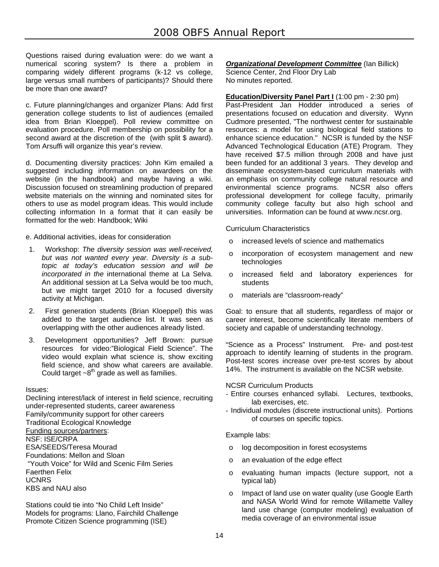Questions raised during evaluation were: do we want a numerical scoring system? Is there a problem in comparing widely different programs (k-12 vs college, large versus small numbers of participants)? Should there be more than one award?

c. Future planning/changes and organizer Plans: Add first generation college students to list of audiences (emailed idea from Brian Kloeppel). Poll review committee on evaluation procedure. Poll membership on possibility for a second award at the discretion of the (with split \$ award). Tom Arsuffi will organize this year's review.

d. Documenting diversity practices: John Kim emailed a suggested including information on awardees on the website (in the handbook) and maybe having a wiki. Discussion focused on streamlining production of prepared website materials on the winning and nominated sites for others to use as model program ideas. This would include collecting information In a format that it can easily be formatted for the web: Handbook; Wiki

e. Additional activities, ideas for consideration

- 1. Workshop: *The diversity session was well-received, but was not wanted every year. Diversity is a subtopic at today's education session and will be incorporated in the* international theme at La Selva. An additional session at La Selva would be too much, but we might target 2010 for a focused diversity activity at Michigan.
- 2. First generation students (Brian Kloeppel) this was added to the target audience list. It was seen as overlapping with the other audiences already listed.
- 3. Development opportunities? Jeff Brown: pursue resources for video:"Biological Field Science". The video would explain what science is, show exciting field science, and show what careers are available. Could target  $\sim8^{th}$  grade as well as families.

#### Issues:

Declining interest/lack of interest in field science, recruiting under-represented students, career awareness Family/community support for other careers Traditional Ecological Knowledge Funding sources/partners: NSF: ISE/CRPA ESA/SEEDS/Teresa Mourad Foundations: Mellon and Sloan "Youth Voice" for Wild and Scenic Film Series Faerthen Felix UCNRS KBS and NAU also

Stations could tie into "No Child Left Inside" Models for programs: Llano, Fairchild Challenge Promote Citizen Science programming (ISE)

*Organizational Development Committee* (Ian Billick) Science Center, 2nd Floor Dry Lab No minutes reported.

**Education/Diversity Panel Part I** (1:00 pm - 2:30 pm) Past-President Jan Hodder introduced a series of presentations focused on education and diversity. Wynn Cudmore presented, "The northwest center for sustainable resources: a model for using biological field stations to enhance science education." NCSR is funded by the NSF Advanced Technological Education (ATE) Program. They have received \$7.5 million through 2008 and have just been funded for an additional 3 years. They develop and disseminate ecosystem-based curriculum materials with an emphasis on community college natural resource and environmental science programs. NCSR also offers professional development for college faculty, primarily community college faculty but also high school and universities. Information can be found at www.ncsr.org.

Curriculum Characteristics

- o increased levels of science and mathematics
- o incorporation of ecosystem management and new technologies
- o increased field and laboratory experiences for students
- o materials are "classroom-ready"

Goal: to ensure that all students, regardless of major or career interest, become scientifically literate members of society and capable of understanding technology.

"Science as a Process" Instrument. Pre- and post-test approach to identify learning of students in the program. Post-test scores increase over pre-test scores by about 14%. The instrument is available on the NCSR website.

#### NCSR Curriculum Products

- Entire courses enhanced syllabi. Lectures, textbooks, lab exercises, etc.
- Individual modules (discrete instructional units). Portions of courses on specific topics.

Example labs:

- o log decomposition in forest ecosystems
- o an evaluation of the edge effect
- o evaluating human impacts (lecture support, not a typical lab)
- o Impact of land use on water quality (use Google Earth and NASA World Wind for remote Willamette Valley land use change (computer modeling) evaluation of media coverage of an environmental issue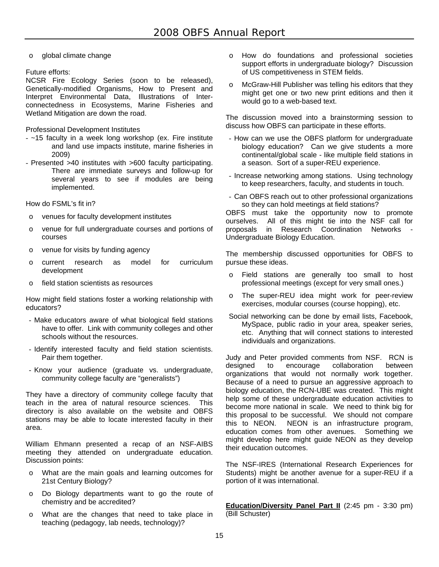o global climate change

# Future efforts:

NCSR Fire Ecology Series (soon to be released), Genetically-modified Organisms, How to Present and Interpret Environmental Data, Illustrations of Interconnectedness in Ecosystems, Marine Fisheries and Wetland Mitigation are down the road.

Professional Development Institutes

- ~15 faculty in a week long workshop (ex. Fire institute and land use impacts institute, marine fisheries in 2009)
- Presented >40 institutes with >600 faculty participating. There are immediate surveys and follow-up for several years to see if modules are being implemented.

How do FSML's fit in?

- o venues for faculty development institutes
- o venue for full undergraduate courses and portions of courses
- o venue for visits by funding agency
- o current research as model for curriculum development
- o field station scientists as resources

How might field stations foster a working relationship with educators?

- Make educators aware of what biological field stations have to offer. Link with community colleges and other schools without the resources.
- Identify interested faculty and field station scientists. Pair them together.
- Know your audience (graduate vs. undergraduate, community college faculty are "generalists")

They have a directory of community college faculty that teach in the area of natural resource sciences. This directory is also available on the website and OBFS stations may be able to locate interested faculty in their area.

William Ehmann presented a recap of an NSF-AIBS meeting they attended on undergraduate education. Discussion points:

- o What are the main goals and learning outcomes for 21st Century Biology?
- o Do Biology departments want to go the route of chemistry and be accredited?
- o What are the changes that need to take place in teaching (pedagogy, lab needs, technology)?
- o How do foundations and professional societies support efforts in undergraduate biology? Discussion of US competitiveness in STEM fields.
- McGraw-Hill Publisher was telling his editors that they might get one or two new print editions and then it would go to a web-based text.

The discussion moved into a brainstorming session to discuss how OBFS can participate in these efforts.

- How can we use the OBFS platform for undergraduate biology education? Can we give students a more continental/global scale - like multiple field stations in a season. Sort of a super-REU experience.
- Increase networking among stations. Using technology to keep researchers, faculty, and students in touch.
- Can OBFS reach out to other professional organizations so they can hold meetings at field stations?

OBFS must take the opportunity now to promote ourselves. All of this might tie into the NSF call for proposals in Research Coordination Networks - Undergraduate Biology Education.

The membership discussed opportunities for OBFS to pursue these ideas.

- o Field stations are generally too small to host professional meetings (except for very small ones.)
- o The super-REU idea might work for peer-review exercises, modular courses (course hopping), etc.
- Social networking can be done by email lists, Facebook, MySpace, public radio in your area, speaker series, etc. Anything that will connect stations to interested individuals and organizations.

Judy and Peter provided comments from NSF. RCN is designed to encourage collaboration between organizations that would not normally work together. Because of a need to pursue an aggressive approach to biology education, the RCN-UBE was created. This might help some of these undergraduate education activities to become more national in scale. We need to think big for this proposal to be successful. We should not compare this to NEON. NEON is an infrastructure program, education comes from other avenues. Something we might develop here might guide NEON as they develop their education outcomes.

The NSF-IRES (International Research Experiences for Students) might be another avenue for a super-REU if a portion of it was international.

**Education/Diversity Panel Part II** (2:45 pm - 3:30 pm) (Bill Schuster)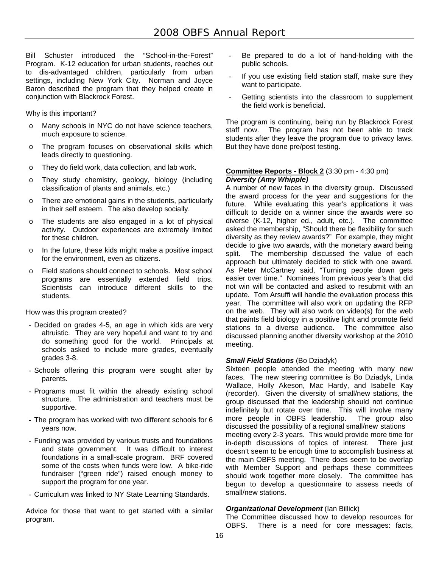Bill Schuster introduced the "School-in-the-Forest" Program. K-12 education for urban students, reaches out to dis-advantaged children, particularly from urban settings, including New York City. Norman and Joyce Baron described the program that they helped create in conjunction with Blackrock Forest.

Why is this important?

- Many schools in NYC do not have science teachers, much exposure to science.
- o The program focuses on observational skills which leads directly to questioning.
- o They do field work, data collection, and lab work.
- o They study chemistry, geology, biology (including classification of plants and animals, etc.)
- o There are emotional gains in the students, particularly in their self esteem. The also develop socially.
- o The students are also engaged in a lot of physical activity. Outdoor experiences are extremely limited for these children.
- o In the future, these kids might make a positive impact for the environment, even as citizens.
- o Field stations should connect to schools. Most school programs are essentially extended field trips. Scientists can introduce different skills to the students.

How was this program created?

- Decided on grades 4-5, an age in which kids are very altruistic. They are very hopeful and want to try and do something good for the world. Principals at schools asked to include more grades, eventually grades 3-8.
- Schools offering this program were sought after by parents.
- Programs must fit within the already existing school structure. The administration and teachers must be supportive.
- The program has worked with two different schools for 6 years now.
- Funding was provided by various trusts and foundations and state government. It was difficult to interest foundations in a small-scale program. BRF covered some of the costs when funds were low. A bike-ride fundraiser ("green ride") raised enough money to support the program for one year.
- Curriculum was linked to NY State Learning Standards.

Advice for those that want to get started with a similar program.

- Be prepared to do a lot of hand-holding with the public schools.
- If you use existing field station staff, make sure they want to participate.
- Getting scientists into the classroom to supplement the field work is beneficial.

The program is continuing, being run by Blackrock Forest staff now. The program has not been able to track students after they leave the program due to privacy laws. But they have done pre/post testing.

#### **Committee Reports - Block 2** (3:30 pm - 4:30 pm) *Diversity (Amy Whipple)*

A number of new faces in the diversity group. Discussed the award process for the year and suggestions for the future. While evaluating this year's applications it was difficult to decide on a winner since the awards were so diverse (K-12, higher ed., adult, etc.). The committee asked the membership, "Should there be flexibility for such diversity as they review awards?" For example, they might decide to give two awards, with the monetary award being split. The membership discussed the value of each approach but ultimately decided to stick with one award. As Peter McCartney said, "Turning people down gets easier over time." Nominees from previous year's that did not win will be contacted and asked to resubmit with an update. Tom Arsuffi will handle the evaluation process this year. The committee will also work on updating the RFP on the web. They will also work on video(s) for the web that paints field biology in a positive light and promote field stations to a diverse audience. The committee also discussed planning another diversity workshop at the 2010 meeting.

# *Small Field Stations* (Bo Dziadyk)

Sixteen people attended the meeting with many new faces. The new steering committee is Bo Dziadyk, Linda Wallace, Holly Akeson, Mac Hardy, and Isabelle Kay (recorder). Given the diversity of small/new stations, the group discussed that the leadership should not continue indefinitely but rotate over time. This will involve many more people in OBFS leadership. The group also discussed the possibility of a regional small/new stations meeting every 2-3 years. This would provide more time for in-depth discussions of topics of interest. There just doesn't seem to be enough time to accomplish business at the main OBFS meeting. There does seem to be overlap with Member Support and perhaps these committees should work together more closely. The committee has begun to develop a questionnaire to assess needs of small/new stations.

# *Organizational Development* (Ian Billick)

The Committee discussed how to develop resources for OBFS. There is a need for core messages: facts,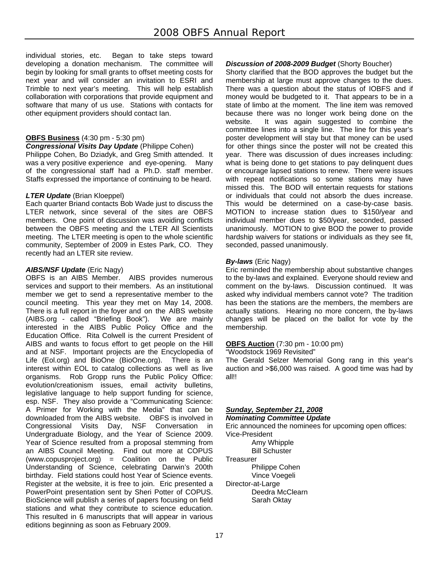individual stories, etc. Began to take steps toward developing a donation mechanism. The committee will begin by looking for small grants to offset meeting costs for next year and will consider an invitation to ESRI and Trimble to next year's meeting. This will help establish collaboration with corporations that provide equipment and software that many of us use. Stations with contacts for other equipment providers should contact Ian.

# **OBFS Business** (4:30 pm - 5:30 pm)

#### *Congressional Visits Day Update* (Philippe Cohen)

Philippe Cohen, Bo Dziadyk, and Greg Smith attended. It was a very positive experience and eye-opening. Many of the congressional staff had a Ph.D. staff member. Staffs expressed the importance of continuing to be heard.

#### *LTER Update* (Brian Kloeppel)

Each quarter Briand contacts Bob Wade just to discuss the LTER network, since several of the sites are OBFS members. One point of discussion was avoiding conflicts between the OBFS meeting and the LTER All Scientists meeting. The LTER meeting is open to the whole scientific community, September of 2009 in Estes Park, CO. They recently had an LTER site review.

# *AIBS/NSF Update* (Eric Nagy)

OBFS is an AIBS Member. AIBS provides numerous services and support to their members. As an institutional member we get to send a representative member to the council meeting. This year they met on May 14, 2008. There is a full report in the foyer and on the AIBS website (AIBS.org - called "Briefing Book"). We are mainly interested in the AIBS Public Policy Office and the Education Office. Rita Colwell is the current President of AIBS and wants to focus effort to get people on the Hill and at NSF. Important projects are the Encyclopedia of Life (Eol.org) and BioOne (BioOne.org). There is an interest within EOL to catalog collections as well as live organisms. Rob Gropp runs the Public Policy Office: evolution/creationism issues, email activity bulletins, legislative language to help support funding for science, esp. NSF. They also provide a "Communicating Science: A Primer for Working with the Media" that can be downloaded from the AIBS website. OBFS is involved in Congressional Visits Day, NSF Conversation in Undergraduate Biology, and the Year of Science 2009. Year of Science resulted from a proposal stemming from an AIBS Council Meeting. Find out more at COPUS (www.copusproject.org) = Coalition on the Public Understanding of Science, celebrating Darwin's 200th birthday. Field stations could host Year of Science events. Register at the website, it is free to join. Eric presented a PowerPoint presentation sent by Sheri Potter of COPUS. BioScience will publish a series of papers focusing on field stations and what they contribute to science education. This resulted in 6 manuscripts that will appear in various editions beginning as soon as February 2009.

# *Discussion of 2008-2009 Budget* (Shorty Boucher)

Shorty clarified that the BOD approves the budget but the membership at large must approve changes to the dues. There was a question about the status of IOBFS and if money would be budgeted to it. That appears to be in a state of limbo at the moment. The line item was removed because there was no longer work being done on the website. It was again suggested to combine the committee lines into a single line. The line for this year's poster development will stay but that money can be used for other things since the poster will not be created this year. There was discussion of dues increases including: what is being done to get stations to pay delinguent dues or encourage lapsed stations to renew. There were issues with repeat notifications so some stations may have missed this. The BOD will entertain requests for stations or individuals that could not absorb the dues increase. This would be determined on a case-by-case basis. MOTION to increase station dues to \$150/year and individual member dues to \$50/year, seconded, passed unanimously. MOTION to give BOD the power to provide hardship waivers for stations or individuals as they see fit, seconded, passed unanimously.

# *By-laws* (Eric Nagy)

Eric reminded the membership about substantive changes to the by-laws and explained. Everyone should review and comment on the by-laws. Discussion continued. It was asked why individual members cannot vote? The tradition has been the stations are the members, the members are actually stations. Hearing no more concern, the by-laws changes will be placed on the ballot for vote by the membership.

#### **OBFS Auction** (7:30 pm - 10:00 pm)

"Woodstock 1969 Revisited"

The Gerald Selzer Memorial Gong rang in this year's auction and >\$6,000 was raised. A good time was had by all!!

#### *Sunday, September 21, 2008*

#### *Nominating Committee Update*

Eric announced the nominees for upcoming open offices:

Vice-President Amy Whipple

Bill Schuster

**Treasurer** 

 Philippe Cohen Vince Voegeli

- 
- Director-at-Large Deedra McClearn Sarah Oktay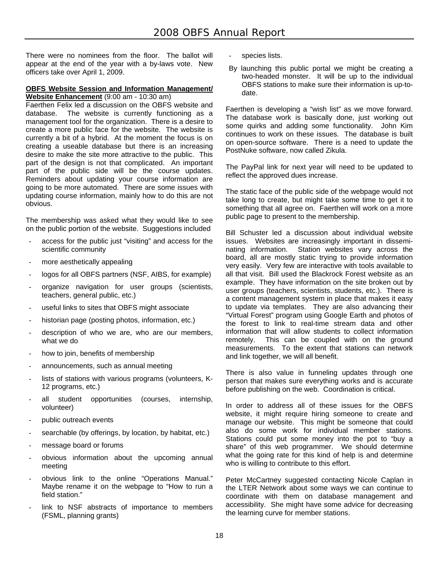There were no nominees from the floor. The ballot will appear at the end of the year with a by-laws vote. New officers take over April 1, 2009.

#### **OBFS Website Session and Information Management/ Website Enhancement** (9:00 am - 10:30 am)

Faerthen Felix led a discussion on the OBFS website and database. The website is currently functioning as a management tool for the organization. There is a desire to create a more public face for the website. The website is currently a bit of a hybrid. At the moment the focus is on creating a useable database but there is an increasing desire to make the site more attractive to the public. This part of the design is not that complicated. An important part of the public side will be the course updates. Reminders about updating your course information are going to be more automated. There are some issues with updating course information, mainly how to do this are not obvious.

The membership was asked what they would like to see on the public portion of the website. Suggestions included

- access for the public just "visiting" and access for the scientific community
- more aesthetically appealing
- logos for all OBFS partners (NSF, AIBS, for example)
- organize navigation for user groups (scientists, teachers, general public, etc.)
- useful links to sites that OBFS might associate
- historian page (posting photos, information, etc.)
- description of who we are, who are our members, what we do
- how to join, benefits of membership
- announcements, such as annual meeting
- lists of stations with various programs (volunteers, K-12 programs, etc.)
- all student opportunities (courses, internship. volunteer)
- public outreach events
- searchable (by offerings, by location, by habitat, etc.)
- message board or forums
- obvious information about the upcoming annual meeting
- obvious link to the online "Operations Manual." Maybe rename it on the webpage to "How to run a field station."
- link to NSF abstracts of importance to members (FSML, planning grants)
- species lists.
- By launching this public portal we might be creating a two-headed monster. It will be up to the individual OBFS stations to make sure their information is up-todate.

Faerthen is developing a "wish list" as we move forward. The database work is basically done, just working out some quirks and adding some functionality. John Kim continues to work on these issues. The database is built on open-source software. There is a need to update the PostNuke software, now called Zikula.

The PayPal link for next year will need to be updated to reflect the approved dues increase.

The static face of the public side of the webpage would not take long to create, but might take some time to get it to something that all agree on. Faerthen will work on a more public page to present to the membership.

Bill Schuster led a discussion about individual website issues. Websites are increasingly important in disseminating information. Station websites vary across the board, all are mostly static trying to provide information very easily. Very few are interactive with tools available to all that visit. Bill used the Blackrock Forest website as an example. They have information on the site broken out by user groups (teachers, scientists, students, etc.). There is a content management system in place that makes it easy to update via templates. They are also advancing their "Virtual Forest" program using Google Earth and photos of the forest to link to real-time stream data and other information that will allow students to collect information remotely. This can be coupled with on the ground measurements. To the extent that stations can network and link together, we will all benefit.

There is also value in funneling updates through one person that makes sure everything works and is accurate before publishing on the web. Coordination is critical.

In order to address all of these issues for the OBFS website, it might require hiring someone to create and manage our website. This might be someone that could also do some work for individual member stations. Stations could put some money into the pot to "buy a share" of this web programmer. We should determine what the going rate for this kind of help is and determine who is willing to contribute to this effort.

Peter McCartney suggested contacting Nicole Caplan in the LTER Network about some ways we can continue to coordinate with them on database management and accessibility. She might have some advice for decreasing the learning curve for member stations.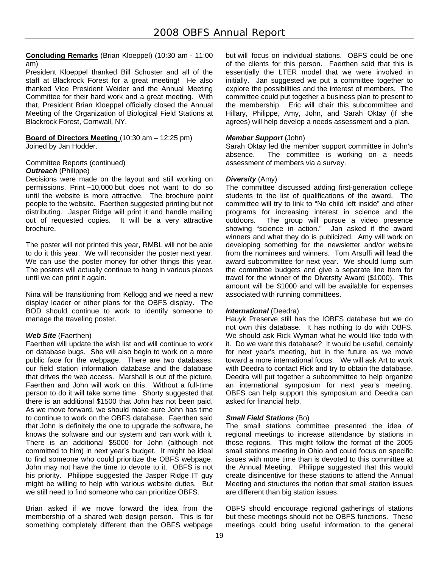**Concluding Remarks** (Brian Kloeppel) (10:30 am - 11:00 am)

President Kloeppel thanked Bill Schuster and all of the staff at Blackrock Forest for a great meeting! He also thanked Vice President Weider and the Annual Meeting Committee for their hard work and a great meeting. With that, President Brian Kloeppel officially closed the Annual Meeting of the Organization of Biological Field Stations at Blackrock Forest, Cornwall, NY.

**Board of Directors Meeting** (10:30 am – 12:25 pm) Joined by Jan Hodder.

# Committee Reports (continued)

#### *Outreach* (Philippe)

Decisions were made on the layout and still working on permissions. Print ~10,000 but does not want to do so until the website is more attractive. The brochure point people to the website. Faerthen suggested printing but not distributing. Jasper Ridge will print it and handle mailing out of requested copies. It will be a very attractive brochure.

The poster will not printed this year, RMBL will not be able to do it this year. We will reconsider the poster next year. We can use the poster money for other things this year. The posters will actually continue to hang in various places until we can print it again.

Nina will be transitioning from Kellogg and we need a new display leader or other plans for the OBFS display. The BOD should continue to work to identify someone to manage the traveling poster.

# *Web Site* (Faerthen)

Faerthen will update the wish list and will continue to work on database bugs. She will also begin to work on a more public face for the webpage. There are two databases: our field station information database and the database that drives the web access. Marshall is out of the picture, Faerthen and John will work on this. Without a full-time person to do it will take some time. Shorty suggested that there is an additional \$1500 that John has not been paid. As we move forward, we should make sure John has time to continue to work on the OBFS database. Faerthen said that John is definitely the one to upgrade the software, he knows the software and our system and can work with it. There is an additional \$5000 for John (although not committed to him) in next year's budget. It might be ideal to find someone who could prioritize the OBFS webpage. John may not have the time to devote to it. OBFS is not his priority. Philippe suggested the Jasper Ridge IT guy might be willing to help with various website duties. But we still need to find someone who can prioritize OBFS.

Brian asked if we move forward the idea from the membership of a shared web design person. This is for something completely different than the OBFS webpage but will focus on individual stations. OBFS could be one of the clients for this person. Faerthen said that this is essentially the LTER model that we were involved in initially. Jan suggested we put a committee together to explore the possibilities and the interest of members. The committee could put together a business plan to present to the membership. Eric will chair this subcommittee and Hillary, Philippe, Amy, John, and Sarah Oktay (if she agrees) will help develop a needs assessment and a plan.

# *Member Support* (John)

Sarah Oktay led the member support committee in John's absence. The committee is working on a needs assessment of members via a survey.

# *Diversity* (Amy)

The committee discussed adding first-generation college students to the list of qualifications of the award. The committee will try to link to "No child left inside" and other programs for increasing interest in science and the outdoors. The group will pursue a video presence showing "science in action." Jan asked if the award winners and what they do is publicized. Amy will work on developing something for the newsletter and/or website from the nominees and winners. Tom Arsuffi will lead the award subcommittee for next year. We should lump sum the committee budgets and give a separate line item for travel for the winner of the Diversity Award (\$1000). This amount will be \$1000 and will be available for expenses associated with running committees.

#### **International** (Deedra)

Hauyk Preserve still has the IOBFS database but we do not own this database. It has nothing to do with OBFS. We should ask Rick Wyman what he would like todo with it. Do we want this database? It would be useful, certainly for next year's meeting, but in the future as we move toward a more international focus. We will ask Art to work with Deedra to contact Rick and try to obtain the database. Deedra will put together a subcommittee to help organize an international symposium for next year's meeting. OBFS can help support this symposium and Deedra can asked for financial help.

#### *Small Field Stations* (Bo)

The small stations committee presented the idea of regional meetings to increase attendance by stations in those regions. This might follow the format of the 2005 small stations meeting in Ohio and could focus on specific issues with more time than is devoted to this committee at the Annual Meeting. Philippe suggested that this would create disincentive for these stations to attend the Annual Meeting and structures the notion that small station issues are different than big station issues.

OBFS should encourage regional gatherings of stations but these meetings should not be OBFS functions. These meetings could bring useful information to the general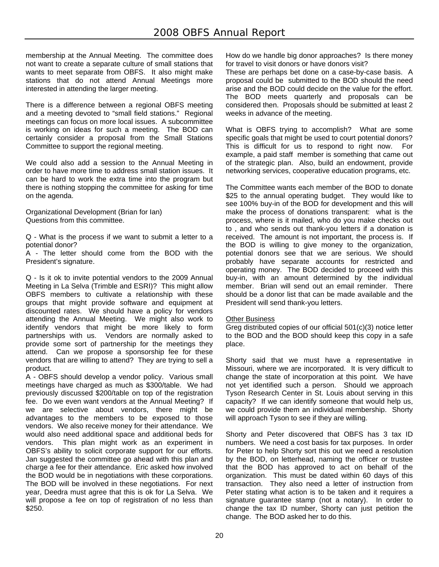membership at the Annual Meeting. The committee does not want to create a separate culture of small stations that wants to meet separate from OBFS. It also might make stations that do not attend Annual Meetings more interested in attending the larger meeting.

There is a difference between a regional OBFS meeting and a meeting devoted to "small field stations." Regional meetings can focus on more local issues. A subcommittee is working on ideas for such a meeting. The BOD can certainly consider a proposal from the Small Stations Committee to support the regional meeting.

We could also add a session to the Annual Meeting in order to have more time to address small station issues. It can be hard to work the extra time into the program but there is nothing stopping the committee for asking for time on the agenda.

Organizational Development (Brian for Ian) Questions from this committee.

Q - What is the process if we want to submit a letter to a potential donor?

A - The letter should come from the BOD with the President's signature.

Q - Is it ok to invite potential vendors to the 2009 Annual Meeting in La Selva (Trimble and ESRI)? This might allow OBFS members to cultivate a relationship with these groups that might provide software and equipment at discounted rates. We should have a policy for vendors attending the Annual Meeting. We might also work to identify vendors that might be more likely to form partnerships with us. Vendors are normally asked to provide some sort of partnership for the meetings they attend. Can we propose a sponsorship fee for these vendors that are willing to attend? They are trying to sell a product.

A - OBFS should develop a vendor policy. Various small meetings have charged as much as \$300/table. We had previously discussed \$200/table on top of the registration fee. Do we even want vendors at the Annual Meeting? If we are selective about vendors, there might be advantages to the members to be exposed to those vendors. We also receive money for their attendance. We would also need additional space and additional beds for vendors. This plan might work as an experiment in OBFS's ability to solicit corporate support for our efforts. Jan suggested the committee go ahead with this plan and charge a fee for their attendance. Eric asked how involved the BOD would be in negotiations with these corporations. The BOD will be involved in these negotiations. For next year, Deedra must agree that this is ok for La Selva. We will propose a fee on top of registration of no less than \$250.

How do we handle big donor approaches? Is there money for travel to visit donors or have donors visit?

These are perhaps bet done on a case-by-case basis. A proposal could be submitted to the BOD should the need arise and the BOD could decide on the value for the effort. The BOD meets quarterly and proposals can be considered then. Proposals should be submitted at least 2 weeks in advance of the meeting.

What is OBFS trying to accomplish? What are some specific goals that might be used to court potential donors? This is difficult for us to respond to right now. For example, a paid staff member is something that came out of the strategic plan. Also, build an endowment, provide networking services, cooperative education programs, etc.

The Committee wants each member of the BOD to donate \$25 to the annual operating budget. They would like to see 100% buy-in of the BOD for development and this will make the process of donations transparent: what is the process, where is it mailed, who do you make checks out to , and who sends out thank-you letters if a donation is received. The amount is not important, the process is. If the BOD is willing to give money to the organization, potential donors see that we are serious. We should probably have separate accounts for restricted and operating money. The BOD decided to proceed with this buy-in, with an amount determined by the individual member. Brian will send out an email reminder. There should be a donor list that can be made available and the President will send thank-you letters.

# Other Business

Greg distributed copies of our official 501(c)(3) notice letter to the BOD and the BOD should keep this copy in a safe place.

Shorty said that we must have a representative in Missouri, where we are incorporated. It is very difficult to change the state of incorporation at this point. We have not yet identified such a person. Should we approach Tyson Research Center in St. Louis about serving in this capacity? If we can identify someone that would help us, we could provide them an individual membership. Shorty will approach Tyson to see if they are willing.

Shorty and Peter discovered that OBFS has 3 tax ID numbers. We need a cost basis for tax purposes. In order for Peter to help Shorty sort this out we need a resolution by the BOD, on letterhead, naming the officer or trustee that the BOD has approved to act on behalf of the organization. This must be dated within 60 days of this transaction. They also need a letter of instruction from Peter stating what action is to be taken and it requires a signature guarantee stamp (not a notary). In order to change the tax ID number, Shorty can just petition the change. The BOD asked her to do this.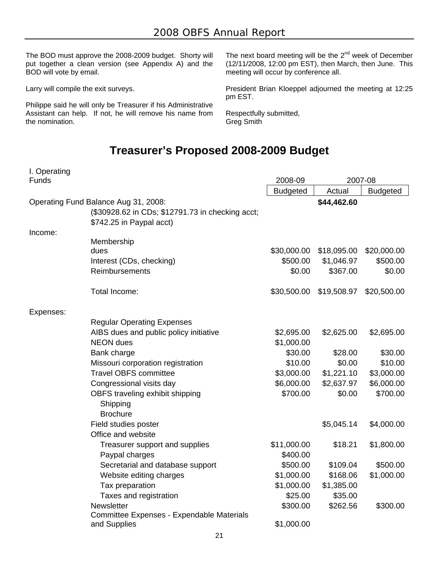The BOD must approve the 2008-2009 budget. Shorty will put together a clean version (see Appendix A) and the BOD will vote by email.

Larry will compile the exit surveys.

Philippe said he will only be Treasurer if his Administrative Assistant can help. If not, he will remove his name from the nomination.

The next board meeting will be the  $2^{nd}$  week of December (12/11/2008, 12:00 pm EST), then March, then June. This meeting will occur by conference all.

President Brian Kloeppel adjourned the meeting at 12:25 pm EST.

Respectfully submitted, Greg Smith

# **Treasurer's Proposed 2008-2009 Budget**

| I. Operating<br>Funds                |                                                  | 2008-09         | 2007-08     |                 |
|--------------------------------------|--------------------------------------------------|-----------------|-------------|-----------------|
|                                      |                                                  | <b>Budgeted</b> | Actual      | <b>Budgeted</b> |
| Operating Fund Balance Aug 31, 2008: |                                                  |                 | \$44,462.60 |                 |
|                                      | (\$30928.62 in CDs; \$12791.73 in checking acct; |                 |             |                 |
|                                      | \$742.25 in Paypal acct)                         |                 |             |                 |
| Income:                              |                                                  |                 |             |                 |
|                                      | Membership                                       |                 |             |                 |
|                                      | dues                                             | \$30,000.00     | \$18,095.00 | \$20,000.00     |
|                                      | Interest (CDs, checking)                         | \$500.00        | \$1,046.97  | \$500.00        |
|                                      | Reimbursements                                   | \$0.00          | \$367.00    | \$0.00          |
|                                      | Total Income:                                    | \$30,500.00     | \$19,508.97 | \$20,500.00     |
| Expenses:                            |                                                  |                 |             |                 |
|                                      | <b>Regular Operating Expenses</b>                |                 |             |                 |
|                                      | AIBS dues and public policy initiative           | \$2,695.00      | \$2,625.00  | \$2,695.00      |
|                                      | <b>NEON</b> dues                                 | \$1,000.00      |             |                 |
|                                      | Bank charge                                      | \$30.00         | \$28.00     | \$30.00         |
|                                      | Missouri corporation registration                | \$10.00         | \$0.00      | \$10.00         |
|                                      | <b>Travel OBFS committee</b>                     | \$3,000.00      | \$1,221.10  | \$3,000.00      |
|                                      | Congressional visits day                         | \$6,000.00      | \$2,637.97  | \$6,000.00      |
|                                      | OBFS traveling exhibit shipping                  | \$700.00        | \$0.00      | \$700.00        |
|                                      | Shipping                                         |                 |             |                 |
|                                      | <b>Brochure</b>                                  |                 |             |                 |
|                                      | Field studies poster                             |                 | \$5,045.14  | \$4,000.00      |
|                                      | Office and website                               |                 |             |                 |
|                                      | Treasurer support and supplies                   | \$11,000.00     | \$18.21     | \$1,800.00      |
|                                      | Paypal charges                                   | \$400.00        |             |                 |
|                                      | Secretarial and database support                 | \$500.00        | \$109.04    | \$500.00        |
|                                      | Website editing charges                          | \$1,000.00      | \$168.06    | \$1,000.00      |
|                                      | Tax preparation                                  | \$1,000.00      | \$1,385.00  |                 |
|                                      | Taxes and registration                           | \$25.00         | \$35.00     |                 |
|                                      | Newsletter                                       | \$300.00        | \$262.56    | \$300.00        |
|                                      | Committee Expenses - Expendable Materials        |                 |             |                 |
|                                      | and Supplies                                     | \$1,000.00      |             |                 |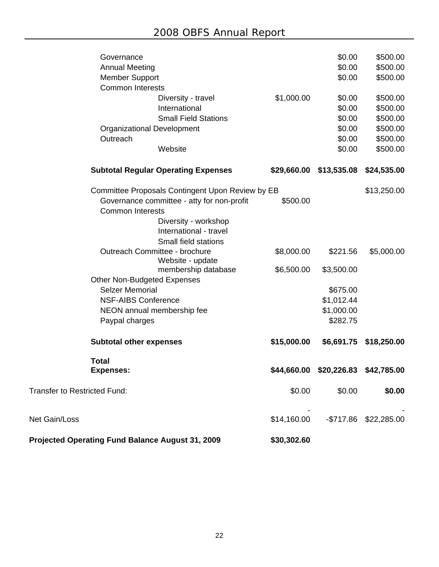| Projected Operating Fund Balance August 31, 2009      | \$30,302.60 |                         |             |
|-------------------------------------------------------|-------------|-------------------------|-------------|
| Net Gain/Loss                                         | \$14,160.00 | $-$717.86$              | \$22,285.00 |
| <b>Transfer to Restricted Fund:</b>                   | \$0.00      | \$0.00                  | \$0.00      |
| <b>Total</b><br><b>Expenses:</b>                      |             | \$44,660.00 \$20,226.83 | \$42,785.00 |
| <b>Subtotal other expenses</b>                        | \$15,000.00 | \$6,691.75              | \$18,250.00 |
| Paypal charges                                        |             | \$282.75                |             |
| NEON annual membership fee                            |             | \$1,000.00              |             |
| <b>NSF-AIBS Conference</b>                            |             | \$1,012.44              |             |
| <b>Selzer Memorial</b>                                |             | \$675.00                |             |
| <b>Other Non-Budgeted Expenses</b>                    |             |                         |             |
| membership database                                   | \$6,500.00  | \$3,500.00              |             |
| Website - update                                      |             |                         |             |
| Small field stations<br>Outreach Committee - brochure | \$8,000.00  | \$221.56                | \$5,000.00  |
| International - travel                                |             |                         |             |
| Diversity - workshop                                  |             |                         |             |
| <b>Common Interests</b>                               |             |                         |             |
| Governance committee - atty for non-profit            | \$500.00    |                         |             |
| Committee Proposals Contingent Upon Review by EB      |             |                         | \$13,250.00 |
|                                                       |             |                         | \$24,535.00 |
| <b>Subtotal Regular Operating Expenses</b>            | \$29,660.00 | \$13,535.08             |             |
| Website                                               |             | \$0.00                  | \$500.00    |
| Outreach                                              |             | \$0.00                  | \$500.00    |
| <b>Organizational Development</b>                     |             | \$0.00                  | \$500.00    |
| <b>Small Field Stations</b>                           |             | \$0.00                  | \$500.00    |
| International                                         |             | \$0.00                  | \$500.00    |
| Diversity - travel                                    | \$1,000.00  | \$0.00                  | \$500.00    |
| <b>Common Interests</b>                               |             |                         |             |
| <b>Member Support</b>                                 |             | \$0.00                  | \$500.00    |
| <b>Annual Meeting</b>                                 |             | \$0.00                  | \$500.00    |
| Governance                                            |             | \$0.00                  | \$500.00    |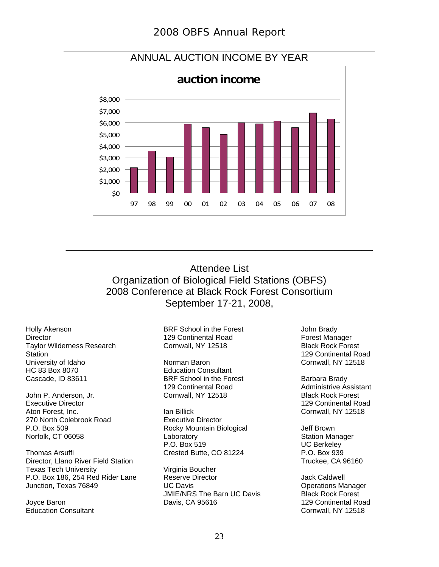

# ANNUAL AUCTION INCOME BY YEAR

Attendee List Organization of Biological Field Stations (OBFS) 2008 Conference at Black Rock Forest Consortium September 17-21, 2008,

\_\_\_\_\_\_\_\_\_\_\_\_\_\_\_\_\_\_\_\_\_\_\_\_\_\_\_\_\_\_\_\_\_\_\_\_\_\_\_\_\_\_\_\_\_\_\_\_\_\_\_\_\_\_\_

Holly Akenson **Director** Taylor Wilderness Research **Station** University of Idaho HC 83 Box 8070 Cascade, ID 83611

John P. Anderson, Jr. Executive Director Aton Forest, Inc. 270 North Colebrook Road P.O. Box 509 Norfolk, CT 06058

Thomas Arsuffi Director, Llano River Field Station Texas Tech University P.O. Box 186, 254 Red Rider Lane Junction, Texas 76849

Joyce Baron Education Consultant BRF School in the Forest 129 Continental Road Cornwall, NY 12518

Norman Baron Education Consultant BRF School in the Forest 129 Continental Road Cornwall, NY 12518

Ian Billick Executive Director Rocky Mountain Biological **Laboratory** P.O. Box 519 Crested Butte, CO 81224

Virginia Boucher Reserve Director UC Davis JMIE/NRS The Barn UC Davis Davis, CA 95616

John Brady Forest Manager Black Rock Forest 129 Continental Road Cornwall, NY 12518

Barbara Brady Administrive Assistant Black Rock Forest 129 Continental Road Cornwall, NY 12518

Jeff Brown Station Manager UC Berkeley P.O. Box 939 Truckee, CA 96160

Jack Caldwell Operations Manager Black Rock Forest 129 Continental Road Cornwall, NY 12518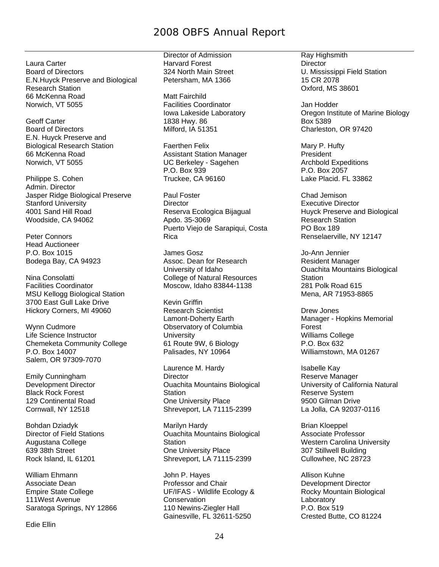# 2008 OBFS Annual Report

Laura Carter Board of Directors E.N.Huyck Preserve and Biological Research Station 66 McKenna Road Norwich, VT 5055

Geoff Carter Board of Directors E.N. Huyck Preserve and Biological Research Station 66 McKenna Road Norwich, VT 5055

Philippe S. Cohen Admin. Director Jasper Ridge Biological Preserve Stanford University 4001 Sand Hill Road Woodside, CA 94062

Peter Connors Head Auctioneer P.O. Box 1015 Bodega Bay, CA 94923

Nina Consolatti Facilities Coordinator MSU Kellogg Biological Station 3700 East Gull Lake Drive Hickory Corners, MI 49060

Wynn Cudmore Life Science Instructor Chemeketa Community College P.O. Box 14007 Salem, OR 97309-7070

Emily Cunningham Development Director Black Rock Forest 129 Continental Road Cornwall, NY 12518

Bohdan Dziadyk Director of Field Stations Augustana College 639 38th Street Rock Island, IL 61201

William Ehmann Associate Dean Empire State College 111West Avenue Saratoga Springs, NY 12866

Edie Ellin

Director of Admission Harvard Forest 324 North Main Street Petersham, MA 1366

Matt Fairchild Facilities Coordinator Iowa Lakeside Laboratory 1838 Hwy. 86 Milford, IA 51351

Faerthen Felix Assistant Station Manager UC Berkeley - Sagehen P.O. Box 939 Truckee, CA 96160

Paul Foster **Director** Reserva Ecologica Bijagual Apdo. 35-3069 Puerto Viejo de Sarapiqui, Costa Rica

James Gosz Assoc. Dean for Research University of Idaho College of Natural Resources Moscow, Idaho 83844-1138

Kevin Griffin Research Scientist Lamont-Doherty Earth Observatory of Columbia **University** 61 Route 9W, 6 Biology Palisades, NY 10964

Laurence M. Hardy **Director** Ouachita Mountains Biological **Station** One University Place Shreveport, LA 71115-2399

Marilyn Hardy Ouachita Mountains Biological **Station** One University Place Shreveport, LA 71115-2399

John P. Hayes Professor and Chair UF/IFAS - Wildlife Ecology & **Conservation** 110 Newins-Ziegler Hall Gainesville, FL 32611-5250

Ray Highsmith **Director** U. Mississippi Field Station 15 CR 2078 Oxford, MS 38601

Jan Hodder Oregon Institute of Marine Biology Box 5389 Charleston, OR 97420

Mary P. Hufty President Archbold Expeditions P.O. Box 2057 Lake Placid. FL 33862

Chad Jemison Executive Director Huyck Preserve and Biological Research Station PO Box 189 Renselaerville, NY 12147

Jo-Ann Jennier Resident Manager Ouachita Mountains Biological Station 281 Polk Road 615 Mena, AR 71953-8865

Drew Jones Manager - Hopkins Memorial Forest Williams College P.O. Box 632 Williamstown, MA 01267

Isabelle Kay Reserve Manager University of California Natural Reserve System 9500 Gilman Drive La Jolla, CA 92037-0116

Brian Kloeppel Associate Professor Western Carolina University 307 Stillwell Building Cullowhee, NC 28723

Allison Kuhne Development Director Rocky Mountain Biological **Laboratory** P.O. Box 519 Crested Butte, CO 81224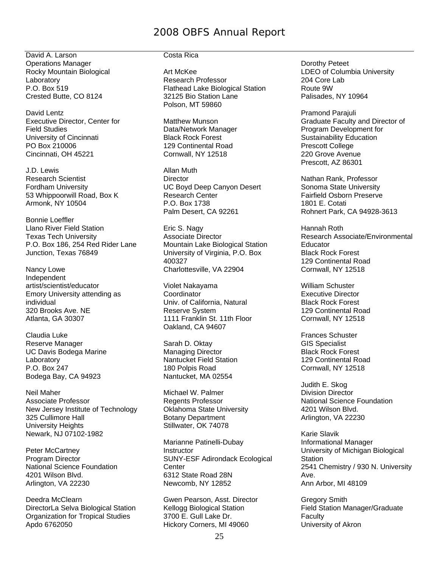# 2008 OBFS Annual Report

David A. Larson Operations Manager Rocky Mountain Biological Laboratory P.O. Box 519 Crested Butte, CO 8124

David Lentz Executive Director, Center for Field Studies University of Cincinnati PO Box 210006 Cincinnati, OH 45221

J.D. Lewis Research Scientist Fordham University 53 Whippoorwill Road, Box K Armonk, NY 10504

Bonnie Loeffler Llano River Field Station Texas Tech University P.O. Box 186, 254 Red Rider Lane Junction, Texas 76849

Nancy Lowe Independent artist/scientist/educator Emory University attending as individual 320 Brooks Ave. NE Atlanta, GA 30307

Claudia Luke Reserve Manager UC Davis Bodega Marine Laboratory P.O. Box 247 Bodega Bay, CA 94923

Neil Maher Associate Professor New Jersey Institute of Technology 325 Cullimore Hall University Heights Newark, NJ 07102-1982

Peter McCartney Program Director National Science Foundation 4201 Wilson Blvd. Arlington, VA 22230

Deedra McClearn DirectorLa Selva Biological Station Organization for Tropical Studies Apdo 6762050

# Costa Rica

Art McKee Research Professor Flathead Lake Biological Station 32125 Bio Station Lane Polson, MT 59860

Matthew Munson Data/Network Manager Black Rock Forest 129 Continental Road Cornwall, NY 12518

Allan Muth **Director** UC Boyd Deep Canyon Desert Research Center P.O. Box 1738 Palm Desert, CA 92261

Eric S. Nagy Associate Director Mountain Lake Biological Station University of Virginia, P.O. Box 400327 Charlottesville, VA 22904

Violet Nakayama **Coordinator** Univ. of California, Natural Reserve System 1111 Franklin St. 11th Floor Oakland, CA 94607

Sarah D. Oktay Managing Director Nantucket Field Station 180 Polpis Road Nantucket, MA 02554

Michael W. Palmer Regents Professor Oklahoma State University Botany Department Stillwater, OK 74078

Marianne Patinelli-Dubay Instructor SUNY-ESF Adirondack Ecological **Center** 6312 State Road 28N Newcomb, NY 12852

Gwen Pearson, Asst. Director Kellogg Biological Station 3700 E. Gull Lake Dr. Hickory Corners, MI 49060

Dorothy Peteet LDEO of Columbia University 204 Core Lab Route 9W Palisades, NY 10964

Pramond Parajuli Graduate Faculty and Director of Program Development for Sustainability Education Prescott College 220 Grove Avenue Prescott, AZ 86301

Nathan Rank, Professor Sonoma State University Fairfield Osborn Preserve 1801 E. Cotati Rohnert Park, CA 94928-3613

Hannah Roth Research Associate/Environmental Educator Black Rock Forest 129 Continental Road Cornwall, NY 12518

William Schuster Executive Director Black Rock Forest 129 Continental Road Cornwall, NY 12518

Frances Schuster GIS Specialist Black Rock Forest 129 Continental Road Cornwall, NY 12518

Judith E. Skog Division Director National Science Foundation 4201 Wilson Blvd. Arlington, VA 22230

Karie Slavik Informational Manager University of Michigan Biological Station 2541 Chemistry / 930 N. University Ave. Ann Arbor, MI 48109

Gregory Smith Field Station Manager/Graduate **Faculty** University of Akron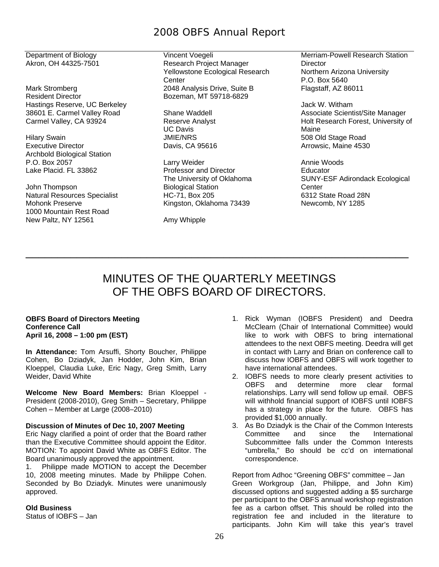# 2008 OBFS Annual Report

Department of Biology Akron, OH 44325-7501

Mark Stromberg Resident Director Hastings Reserve, UC Berkeley 38601 E. Carmel Valley Road Carmel Valley, CA 93924

Hilary Swain Executive Director Archbold Biological Station P.O. Box 2057 Lake Placid. FL 33862

John Thompson Natural Resources Specialist Mohonk Preserve 1000 Mountain Rest Road New Paltz, NY 12561

Vincent Voegeli Research Project Manager Yellowstone Ecological Research **Center** 2048 Analysis Drive, Suite B Bozeman, MT 59718-6829

Shane Waddell Reserve Analyst UC Davis JMIE/NRS Davis, CA 95616

Larry Weider Professor and Director The University of Oklahoma Biological Station HC-71, Box 205 Kingston, Oklahoma 73439

Amy Whipple

Merriam-Powell Research Station **Director** Northern Arizona University P.O. Box 5640 Flagstaff, AZ 86011

Jack W. Witham Associate Scientist/Site Manager Holt Research Forest, University of Maine 508 Old Stage Road Arrowsic, Maine 4530

Annie Woods Educator SUNY-ESF Adirondack Ecological **Center** 6312 State Road 28N Newcomb, NY 1285

# MINUTES OF THE QUARTERLY MEETINGS OF THE OBFS BOARD OF DIRECTORS.

\_\_\_\_\_\_\_\_\_\_\_\_\_\_\_\_\_\_\_\_\_\_\_\_\_\_\_\_\_\_\_\_\_\_\_\_\_\_\_\_\_\_\_\_\_\_\_\_\_\_\_\_\_\_\_\_\_\_\_\_

#### **OBFS Board of Directors Meeting Conference Call April 16, 2008 – 1:00 pm (EST)**

**In Attendance:** Tom Arsuffi, Shorty Boucher, Philippe Cohen, Bo Dziadyk, Jan Hodder, John Kim, Brian Kloeppel, Claudia Luke, Eric Nagy, Greg Smith, Larry Weider, David White

**Welcome New Board Members:** Brian Kloeppel - President (2008-2010), Greg Smith – Secretary, Philippe Cohen – Member at Large (2008–2010)

#### **Discussion of Minutes of Dec 10, 2007 Meeting**

Eric Nagy clarified a point of order that the Board rather than the Executive Committee should appoint the Editor. MOTION: To appoint David White as OBFS Editor. The Board unanimously approved the appointment.

1. Philippe made MOTION to accept the December 10, 2008 meeting minutes. Made by Philippe Cohen. Seconded by Bo Dziadyk. Minutes were unanimously approved.

#### **Old Business**

Status of IOBFS – Jan

- 1. Rick Wyman (IOBFS President) and Deedra McClearn (Chair of International Committee) would like to work with OBFS to bring international attendees to the next OBFS meeting. Deedra will get in contact with Larry and Brian on conference call to discuss how IOBFS and OBFS will work together to have international attendees.
- 2. IOBFS needs to more clearly present activities to OBFS and determine more clear formal relationships. Larry will send follow up email. OBFS will withhold financial support of IOBFS until IOBFS has a strategy in place for the future. OBFS has provided \$1,000 annually.
- 3. As Bo Dziadyk is the Chair of the Common Interests Committee and since the International Subcommittee falls under the Common Interests "umbrella," Bo should be cc'd on international correspondence.

Report from Adhoc "Greening OBFS" committee – Jan Green Workgroup (Jan, Philippe, and John Kim) discussed options and suggested adding a \$5 surcharge per participant to the OBFS annual workshop registration fee as a carbon offset. This should be rolled into the registration fee and included in the literature to participants. John Kim will take this year's travel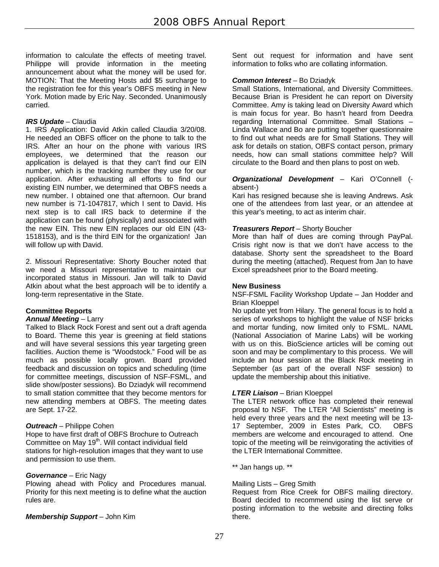information to calculate the effects of meeting travel. Philippe will provide information in the meeting announcement about what the money will be used for. MOTION: That the Meeting Hosts add \$5 surcharge to the registration fee for this year's OBFS meeting in New York. Motion made by Eric Nay. Seconded. Unanimously carried.

#### *IRS Update* – Claudia

1. IRS Application: David Atkin called Claudia 3/20/08. He needed an OBFS officer on the phone to talk to the IRS. After an hour on the phone with various IRS employees, we determined that the reason our application is delayed is that they can't find our EIN number, which is the tracking number they use for our application. After exhausting all efforts to find our existing EIN number, we determined that OBFS needs a new number. I obtained one that afternoon. Our brand new number is 71-1047817, which I sent to David. His next step is to call IRS back to determine if the application can be found (physically) and associated with the new EIN. This new EIN replaces our old EIN (43- 1518153), and is the third EIN for the organization! Jan will follow up with David.

2. Missouri Representative: Shorty Boucher noted that we need a Missouri representative to maintain our incorporated status in Missouri. Jan will talk to David Atkin about what the best approach will be to identify a long-term representative in the State.

# **Committee Reports**

#### *Annual Meeting* – Larry

Talked to Black Rock Forest and sent out a draft agenda to Board. Theme this year is greening at field stations and will have several sessions this year targeting green facilities. Auction theme is "Woodstock." Food will be as much as possible locally grown. Board provided feedback and discussion on topics and scheduling (time for committee meetings, discussion of NSF-FSML, and slide show/poster sessions). Bo Dziadyk will recommend to small station committee that they become mentors for new attending members at OBFS. The meeting dates are Sept. 17-22.

# *Outreach* – Philippe Cohen

Hope to have first draft of OBFS Brochure to Outreach Committee on May 19th. Will contact individual field stations for high-resolution images that they want to use and permission to use them.

#### *Governance* – Eric Nagy

Plowing ahead with Policy and Procedures manual. Priority for this next meeting is to define what the auction rules are.

# *Membership Support* – John Kim

Sent out request for information and have sent information to folks who are collating information.

#### *Common Interest* – Bo Dziadyk

Small Stations, International, and Diversity Committees. Because Brian is President he can report on Diversity Committee. Amy is taking lead on Diversity Award which is main focus for year. Bo hasn't heard from Deedra regarding International Committee. Small Stations – Linda Wallace and Bo are putting together questionnaire to find out what needs are for Small Stations. They will ask for details on station, OBFS contact person, primary needs, how can small stations committee help? Will circulate to the Board and then plans to post on web.

#### *Organizational Development* – Kari O'Connell ( absent-)

Kari has resigned because she is leaving Andrews. Ask one of the attendees from last year, or an attendee at this year's meeting, to act as interim chair.

# *Treasurers Report* – Shorty Boucher

More than half of dues are coming through PayPal. Crisis right now is that we don't have access to the database. Shorty sent the spreadsheet to the Board during the meeting (attached). Request from Jan to have Excel spreadsheet prior to the Board meeting.

#### **New Business**

NSF-FSML Facility Workshop Update – Jan Hodder and Brian Kloeppel

No update yet from Hilary. The general focus is to hold a series of workshops to highlight the value of NSF bricks and mortar funding, now limited only to FSML. NAML (National Association of Marine Labs) will be working with us on this. BioScience articles will be coming out soon and may be complimentary to this process. We will include an hour session at the Black Rock meeting in September (as part of the overall NSF session) to update the membership about this initiative.

#### *LTER Liaison* – Brian Kloeppel

The LTER network office has completed their renewal proposal to NSF. The LTER "All Scientists" meeting is held every three years and the next meeting will be 13- 17 September, 2009 in Estes Park, CO. OBFS members are welcome and encouraged to attend. One topic of the meeting will be reinvigorating the activities of the LTER International Committee.

\*\* Jan hangs up. \*\*

# Mailing Lists – Greg Smith

Request from Rice Creek for OBFS mailing directory. Board decided to recommend using the list serve or posting information to the website and directing folks there.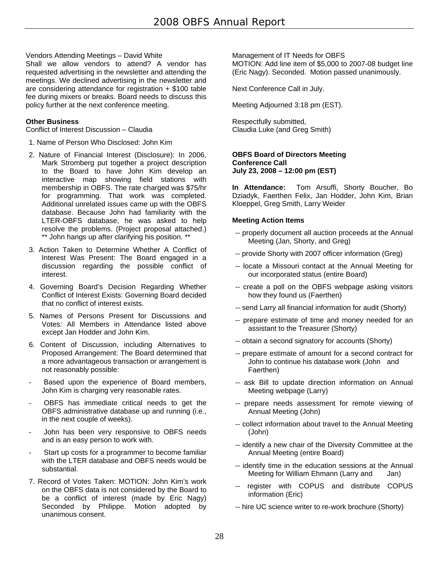# Vendors Attending Meetings – David White

Shall we allow vendors to attend? A vendor has requested advertising in the newsletter and attending the meetings. We declined advertising in the newsletter and are considering attendance for registration + \$100 table fee during mixers or breaks. Board needs to discuss this policy further at the next conference meeting.

#### **Other Business**

Conflict of Interest Discussion – Claudia

- 1. Name of Person Who Disclosed: John Kim
- 2. Nature of Financial Interest (Disclosure): In 2006, Mark Stromberg put together a project description to the Board to have John Kim develop an interactive map showing field stations with membership in OBFS. The rate charged was \$75/hr for programming. That work was completed. Additional unrelated issues came up with the OBFS database. Because John had familiarity with the LTER-OBFS database, he was asked to help resolve the problems. (Project proposal attached.) \*\* John hangs up after clarifying his position. \*\*
- 3. Action Taken to Determine Whether A Conflict of Interest Was Present: The Board engaged in a discussion regarding the possible conflict of interest.
- 4. Governing Board's Decision Regarding Whether Conflict of Interest Exists: Governing Board decided that no conflict of interest exists.
- 5. Names of Persons Present for Discussions and Votes: All Members in Attendance listed above except Jan Hodder and John Kim.
- 6. Content of Discussion, including Alternatives to Proposed Arrangement: The Board determined that a more advantageous transaction or arrangement is not reasonably possible:
- Based upon the experience of Board members, John Kim is charging very reasonable rates.
- OBFS has immediate critical needs to get the OBFS administrative database up and running (i.e., in the next couple of weeks).
- John has been very responsive to OBFS needs and is an easy person to work with.
- Start up costs for a programmer to become familiar with the LTER database and OBFS needs would be substantial.
- 7. Record of Votes Taken: MOTION: John Kim's work on the OBFS data is not considered by the Board to be a conflict of interest (made by Eric Nagy) Seconded by Philippe. Motion adopted by unanimous consent.

Management of IT Needs for OBFS MOTION: Add line item of \$5,000 to 2007-08 budget line (Eric Nagy). Seconded. Motion passed unanimously.

Next Conference Call in July.

Meeting Adjourned 3:18 pm (EST).

Respectfully submitted, Claudia Luke (and Greg Smith)

#### **OBFS Board of Directors Meeting Conference Call July 23, 2008 – 12:00 pm (EST)**

**In Attendance:** Tom Arsuffi, Shorty Boucher, Bo Dziadyk, Faerthen Felix, Jan Hodder, John Kim, Brian Kloeppel, Greg Smith, Larry Weider

# **Meeting Action Items**

- -- properly document all auction proceeds at the Annual Meeting (Jan, Shorty, and Greg)
- -- provide Shorty with 2007 officer information (Greg)
- -- locate a Missouri contact at the Annual Meeting for our incorporated status (entire Board)
- -- create a poll on the OBFS webpage asking visitors how they found us (Faerthen)
- -- send Larry all financial information for audit (Shorty)
- -- prepare estimate of time and money needed for an assistant to the Treasurer (Shorty)
- -- obtain a second signatory for accounts (Shorty)
- -- prepare estimate of amount for a second contract for John to continue his database work (John and Faerthen)
- -- ask Bill to update direction information on Annual Meeting webpage (Larry)
- -- prepare needs assessment for remote viewing of Annual Meeting (John)
- -- collect information about travel to the Annual Meeting (John)
- -- identify a new chair of the Diversity Committee at the Annual Meeting (entire Board)
- -- identify time in the education sessions at the Annual Meeting for William Ehmann (Larry and Jan)
- -- register with COPUS and distribute COPUS information (Eric)
- -- hire UC science writer to re-work brochure (Shorty)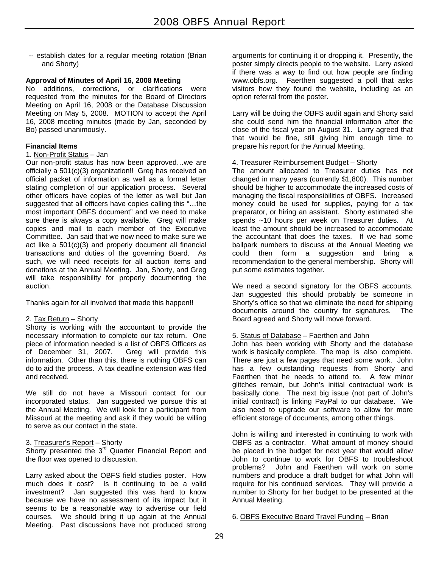-- establish dates for a regular meeting rotation (Brian and Shorty)

# **Approval of Minutes of April 16, 2008 Meeting**

No additions, corrections, or clarifications were requested from the minutes for the Board of Directors Meeting on April 16, 2008 or the Database Discussion Meeting on May 5, 2008. MOTION to accept the April 16, 2008 meeting minutes (made by Jan, seconded by Bo) passed unanimously.

# **Financial Items**

#### 1. Non-Profit Status - Jan

Our non-profit status has now been approved…we are officially a 501(c)(3) organization!! Greg has received an official packet of information as well as a formal letter stating completion of our application process. Several other officers have copies of the letter as well but Jan suggested that all officers have copies calling this "…the most important OBFS document" and we need to make sure there is always a copy available. Greg will make copies and mail to each member of the Executive Committee. Jan said that we now need to make sure we act like a 501(c)(3) and properly document all financial transactions and duties of the governing Board. As such, we will need receipts for all auction items and donations at the Annual Meeting. Jan, Shorty, and Greg will take responsibility for properly documenting the auction.

Thanks again for all involved that made this happen!!

#### 2. Tax Return – Shorty

Shorty is working with the accountant to provide the necessary information to complete our tax return. One piece of information needed is a list of OBFS Officers as of December 31, 2007. Greg will provide this information. Other than this, there is nothing OBFS can do to aid the process. A tax deadline extension was filed and received.

We still do not have a Missouri contact for our incorporated status. Jan suggested we pursue this at the Annual Meeting. We will look for a participant from Missouri at the meeting and ask if they would be willing to serve as our contact in the state.

#### 3. Treasurer's Report – Shorty

Shorty presented the 3<sup>rd</sup> Quarter Financial Report and the floor was opened to discussion.

Larry asked about the OBFS field studies poster. How much does it cost? Is it continuing to be a valid investment? Jan suggested this was hard to know because we have no assessment of its impact but it seems to be a reasonable way to advertise our field courses. We should bring it up again at the Annual Meeting. Past discussions have not produced strong

arguments for continuing it or dropping it. Presently, the poster simply directs people to the website. Larry asked if there was a way to find out how people are finding www.obfs.org. Faerthen suggested a poll that asks visitors how they found the website, including as an option referral from the poster.

Larry will be doing the OBFS audit again and Shorty said she could send him the financial information after the close of the fiscal year on August 31. Larry agreed that that would be fine, still giving him enough time to prepare his report for the Annual Meeting.

#### 4. Treasurer Reimbursement Budget – Shorty

The amount allocated to Treasurer duties has not changed in many years (currently \$1,800). This number should be higher to accommodate the increased costs of managing the fiscal responsibilities of OBFS. Increased money could be used for supplies, paying for a tax preparator, or hiring an assistant. Shorty estimated she spends ~10 hours per week on Treasurer duties. At least the amount should be increased to accommodate the accountant that does the taxes. If we had some ballpark numbers to discuss at the Annual Meeting we could then form a suggestion and bring a recommendation to the general membership. Shorty will put some estimates together.

We need a second signatory for the OBFS accounts. Jan suggested this should probably be someone in Shorty's office so that we eliminate the need for shipping documents around the country for signatures. The Board agreed and Shorty will move forward.

#### 5. Status of Database – Faerthen and John

John has been working with Shorty and the database work is basically complete. The map is also complete. There are just a few pages that need some work. John has a few outstanding requests from Shorty and Faerthen that he needs to attend to. A few minor glitches remain, but John's initial contractual work is basically done. The next big issue (not part of John's initial contract) is linking PayPal to our database. We also need to upgrade our software to allow for more efficient storage of documents, among other things.

John is willing and interested in continuing to work with OBFS as a contractor. What amount of money should be placed in the budget for next year that would allow John to continue to work for OBFS to troubleshoot problems? John and Faerthen will work on some numbers and produce a draft budget for what John will require for his continued services. They will provide a number to Shorty for her budget to be presented at the Annual Meeting.

6. OBFS Executive Board Travel Funding – Brian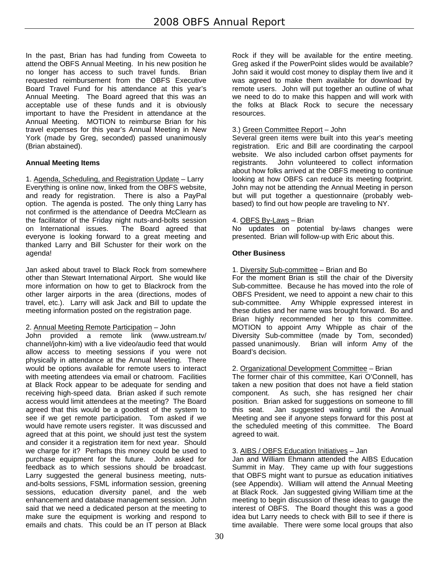In the past, Brian has had funding from Coweeta to attend the OBFS Annual Meeting. In his new position he no longer has access to such travel funds. Brian requested reimbursement from the OBFS Executive Board Travel Fund for his attendance at this year's Annual Meeting. The Board agreed that this was an acceptable use of these funds and it is obviously important to have the President in attendance at the Annual Meeting. MOTION to reimburse Brian for his travel expenses for this year's Annual Meeting in New York (made by Greg, seconded) passed unanimously (Brian abstained).

# **Annual Meeting Items**

1. Agenda, Scheduling, and Registration Update – Larry Everything is online now, linked from the OBFS website, and ready for registration. There is also a PayPal option. The agenda is posted. The only thing Larry has not confirmed is the attendance of Deedra McClearn as the facilitator of the Friday night nuts-and-bolts session on International issues. The Board agreed that everyone is looking forward to a great meeting and thanked Larry and Bill Schuster for their work on the agenda!

Jan asked about travel to Black Rock from somewhere other than Stewart International Airport. She would like more information on how to get to Blackrock from the other larger airports in the area (directions, modes of travel, etc.). Larry will ask Jack and Bill to update the meeting information posted on the registration page.

# 2. Annual Meeting Remote Participation – John

John provided a remote link (www.ustream.tv/ channel/john-kim) with a live video/audio feed that would allow access to meeting sessions if you were not physically in attendance at the Annual Meeting. There would be options available for remote users to interact with meeting attendees via email or chatroom. Facilities at Black Rock appear to be adequate for sending and receiving high-speed data. Brian asked if such remote access would limit attendees at the meeting? The Board agreed that this would be a goodtest of the system to see if we get remote participation. Tom asked if we would have remote users register. It was discussed and agreed that at this point, we should just test the system and consider it a registration item for next year. Should we charge for it? Perhaps this money could be used to purchase equipment for the future. John asked for feedback as to which sessions should be broadcast. Larry suggested the general business meeting, nutsand-bolts sessions, FSML information session, greening sessions, education diversity panel, and the web enhancement and database management session. John said that we need a dedicated person at the meeting to make sure the equipment is working and respond to emails and chats. This could be an IT person at Black

Rock if they will be available for the entire meeting. Greg asked if the PowerPoint slides would be available? John said it would cost money to display them live and it was agreed to make them available for download by remote users. John will put together an outline of what we need to do to make this happen and will work with the folks at Black Rock to secure the necessary resources.

# 3.) Green Committee Report – John

Several green items were built into this year's meeting registration. Eric and Bill are coordinating the carpool website. We also included carbon offset payments for registrants. John volunteered to collect information about how folks arrived at the OBFS meeting to continue looking at how OBFS can reduce its meeting footprint. John may not be attending the Annual Meeting in person but will put together a questionnaire (probably webbased) to find out how people are traveling to NY.

# 4. OBFS By-Laws - Brian

No updates on potential by-laws changes were presented. Brian will follow-up with Eric about this.

# **Other Business**

1. Diversity Sub-committee – Brian and Bo

For the moment Brian is still the chair of the Diversity Sub-committee. Because he has moved into the role of OBFS President, we need to appoint a new chair to this sub-committee. Amy Whipple expressed interest in these duties and her name was brought forward. Bo and Brian highly recommended her to this committee. MOTION to appoint Amy Whipple as chair of the Diversity Sub-committee (made by Tom, seconded) passed unanimously. Brian will inform Amy of the Board's decision.

# 2. Organizational Development Committee – Brian

The former chair of this committee, Kari O'Connell, has taken a new position that does not have a field station component. As such, she has resigned her chair position. Brian asked for suggestions on someone to fill this seat. Jan suggested waiting until the Annual Meeting and see if anyone steps forward for this post at the scheduled meeting of this committee. The Board agreed to wait.

# 3. AIBS / OBFS Education Initiatives – Jan

Jan and William Ehmann attended the AIBS Education Summit in May. They came up with four suggestions that OBFS might want to pursue as education initiatives (see Appendix). William will attend the Annual Meeting at Black Rock. Jan suggested giving William time at the meeting to begin discussion of these ideas to gauge the interest of OBFS. The Board thought this was a good idea but Larry needs to check with Bill to see if there is time available. There were some local groups that also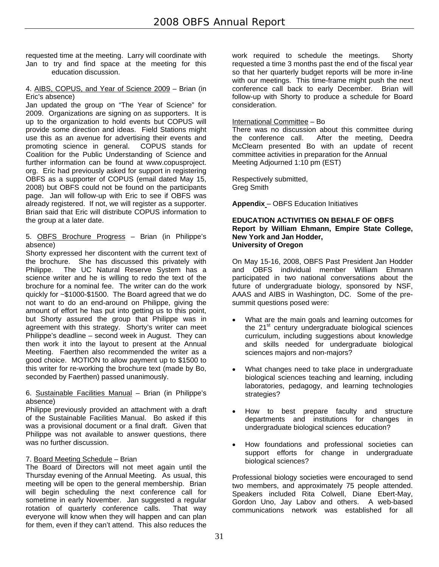requested time at the meeting. Larry will coordinate with Jan to try and find space at the meeting for this education discussion.

#### 4. AIBS, COPUS, and Year of Science 2009 – Brian (in Eric's absence)

Jan updated the group on "The Year of Science" for 2009. Organizations are signing on as supporters. It is up to the organization to hold events but COPUS will provide some direction and ideas. Field Stations might use this as an avenue for advertising their events and promoting science in general. COPUS stands for promoting science in general. Coalition for the Public Understanding of Science and further information can be found at www.copusproject. org. Eric had previously asked for support in registering OBFS as a supporter of COPUS (email dated May 15, 2008) but OBFS could not be found on the participants page. Jan will follow-up with Eric to see if OBFS was already registered. If not, we will register as a supporter. Brian said that Eric will distribute COPUS information to the group at a later date.

#### 5. OBFS Brochure Progress – Brian (in Philippe's absence)

Shorty expressed her discontent with the current text of the brochure. She has discussed this privately with Philippe. The UC Natural Reserve System has a science writer and he is willing to redo the text of the brochure for a nominal fee. The writer can do the work quickly for ~\$1000-\$1500. The Board agreed that we do not want to do an end-around on Philippe, giving the amount of effort he has put into getting us to this point, but Shorty assured the group that Philippe was in agreement with this strategy. Shorty's writer can meet Philippe's deadline – second week in August. They can then work it into the layout to present at the Annual Meeting. Faerthen also recommended the writer as a good choice. MOTION to allow payment up to \$1500 to this writer for re-working the brochure text (made by Bo, seconded by Faerthen) passed unanimously.

# 6. Sustainable Facilities Manual – Brian (in Philippe's absence)

Philippe previously provided an attachment with a draft of the Sustainable Facilities Manual. Bo asked if this was a provisional document or a final draft. Given that Philippe was not available to answer questions, there was no further discussion.

# 7. Board Meeting Schedule – Brian

The Board of Directors will not meet again until the Thursday evening of the Annual Meeting. As usual, this meeting will be open to the general membership. Brian will begin scheduling the next conference call for sometime in early November. Jan suggested a regular rotation of quarterly conference calls. That way everyone will know when they will happen and can plan for them, even if they can't attend. This also reduces the

work required to schedule the meetings. Shorty requested a time 3 months past the end of the fiscal year so that her quarterly budget reports will be more in-line with our meetings. This time-frame might push the next conference call back to early December. Brian will follow-up with Shorty to produce a schedule for Board consideration.

# International Committee – Bo

There was no discussion about this committee during the conference call. After the meeting, Deedra McClearn presented Bo with an update of recent committee activities in preparation for the Annual Meeting Adjourned 1:10 pm (EST)

Respectively submitted, Greg Smith

**Appendix** – OBFS Education Initiatives

#### **EDUCATION ACTIVITIES ON BEHALF OF OBFS Report by William Ehmann, Empire State College, New York and Jan Hodder, University of Oregon**

On May 15-16, 2008, OBFS Past President Jan Hodder and OBFS individual member William Ehmann participated in two national conversations about the future of undergraduate biology, sponsored by NSF, AAAS and AIBS in Washington, DC. Some of the presummit questions posed were:

- What are the main goals and learning outcomes for the  $21<sup>st</sup>$  century undergraduate biological sciences curriculum, including suggestions about knowledge and skills needed for undergraduate biological sciences majors and non-majors?
- What changes need to take place in undergraduate biological sciences teaching and learning, including laboratories, pedagogy, and learning technologies strategies?
- How to best prepare faculty and structure departments and institutions for changes in undergraduate biological sciences education?
- How foundations and professional societies can support efforts for change in undergraduate biological sciences?

Professional biology societies were encouraged to send two members, and approximately 75 people attended. Speakers included Rita Colwell, Diane Ebert-May, Gordon Uno, Jay Labov and others. A web-based communications network was established for all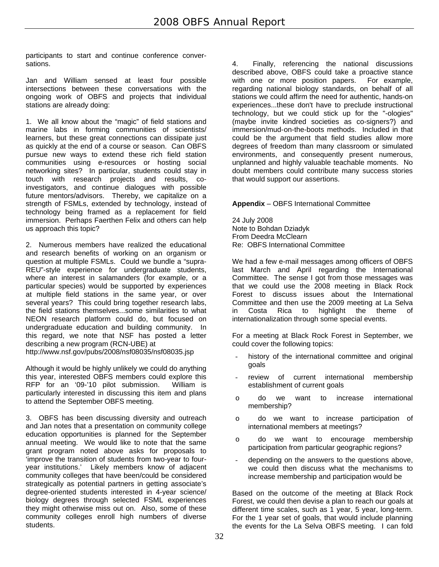participants to start and continue conference conversations.

Jan and William sensed at least four possible intersections between these conversations with the ongoing work of OBFS and projects that individual stations are already doing:

1. We all know about the "magic" of field stations and marine labs in forming communities of scientists/ learners, but these great connections can dissipate just as quickly at the end of a course or season. Can OBFS pursue new ways to extend these rich field station communities using e-resources or hosting social networking sites? In particular, students could stay in touch with research projects and results, coinvestigators, and continue dialogues with possible future mentors/advisors. Thereby, we capitalize on a strength of FSMLs, extended by technology, instead of technology being framed as a replacement for field immersion. Perhaps Faerthen Felix and others can help us approach this topic?

2. Numerous members have realized the educational and research benefits of working on an organism or question at multiple FSMLs. Could we bundle a "supra-REU"-style experience for undergraduate students, where an interest in salamanders (for example, or a particular species) would be supported by experiences at multiple field stations in the same year, or over several years? This could bring together research labs, the field stations themselves...some similarities to what NEON research platform could do, but focused on undergraduate education and building community. In this regard, we note that NSF has posted a letter describing a new program (RCN-UBE) at http://www.nsf.gov/pubs/2008/nsf08035/nsf08035.jsp

Although it would be highly unlikely we could do anything this year, interested OBFS members could explore this RFP for an '09-'10 pilot submission. William is particularly interested in discussing this item and plans to attend the September OBFS meeting.

3. OBFS has been discussing diversity and outreach and Jan notes that a presentation on community college education opportunities is planned for the September annual meeting. We would like to note that the same grant program noted above asks for proposals to 'improve the transition of students from two-year to fouryear institutions.' Likely members know of adjacent community colleges that have been/could be considered strategically as potential partners in getting associate's degree-oriented students interested in 4-year science/ biology degrees through selected FSML experiences they might otherwise miss out on. Also, some of these community colleges enroll high numbers of diverse students.

4. Finally, referencing the national discussions described above, OBFS could take a proactive stance with one or more position papers. For example, regarding national biology standards, on behalf of all stations we could affirm the need for authentic, hands-on experiences...these don't have to preclude instructional technology, but we could stick up for the "-ologies" (maybe invite kindred societies as co-signers?) and immersion/mud- on-the-boots methods. Included in that could be the argument that field studies allow more degrees of freedom than many classroom or simulated environments, and consequently present numerous, unplanned and highly valuable teachable moments. No doubt members could contribute many success stories that would support our assertions.

**Appendix** – OBFS International Committee

24 July 2008 Note to Bohdan Dziadyk From Deedra McClearn Re: OBFS International Committee

We had a few e-mail messages among officers of OBFS last March and April regarding the International Committee. The sense I got from those messages was that we could use the 2008 meeting in Black Rock Forest to discuss issues about the International Committee and then use the 2009 meeting at La Selva in Costa Rica to highlight the theme of internationalization through some special events.

For a meeting at Black Rock Forest in September, we could cover the following topics:

- history of the international committee and original goals
- review of current international membership establishment of current goals
- o do we want to increase international membership?
- o do we want to increase participation of international members at meetings?
- o do we want to encourage membership participation from particular geographic regions?
- depending on the answers to the questions above, we could then discuss what the mechanisms to increase membership and participation would be

Based on the outcome of the meeting at Black Rock Forest, we could then devise a plan to reach our goals at different time scales, such as 1 year, 5 year, long-term. For the 1 year set of goals, that would include planning the events for the La Selva OBFS meeting. I can fold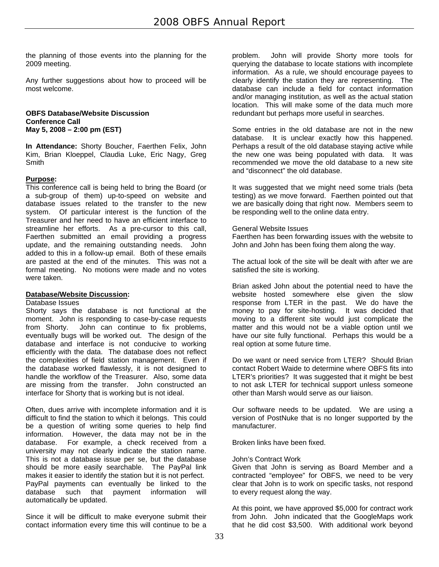the planning of those events into the planning for the 2009 meeting.

Any further suggestions about how to proceed will be most welcome.

#### **OBFS Database/Website Discussion Conference Call May 5, 2008 – 2:00 pm (EST)**

**In Attendance:** Shorty Boucher, Faerthen Felix, John Kim, Brian Kloeppel, Claudia Luke, Eric Nagy, Greg Smith

# **Purpose:**

This conference call is being held to bring the Board (or a sub-group of them) up-to-speed on website and database issues related to the transfer to the new system. Of particular interest is the function of the Treasurer and her need to have an efficient interface to streamline her efforts. As a pre-cursor to this call, Faerthen submitted an email providing a progress update, and the remaining outstanding needs. John added to this in a follow-up email. Both of these emails are pasted at the end of the minutes. This was not a formal meeting. No motions were made and no votes were taken.

#### **Database/Website Discussion:**

Database Issues

Shorty says the database is not functional at the moment. John is responding to case-by-case requests from Shorty. John can continue to fix problems, eventually bugs will be worked out. The design of the database and interface is not conducive to working efficiently with the data. The database does not reflect the complexities of field station management. Even if the database worked flawlessly, it is not designed to handle the workflow of the Treasurer. Also, some data are missing from the transfer. John constructed an interface for Shorty that is working but is not ideal.

Often, dues arrive with incomplete information and it is difficult to find the station to which it belongs. This could be a question of writing some queries to help find information. However, the data may not be in the database. For example, a check received from a university may not clearly indicate the station name. This is not a database issue per se, but the database should be more easily searchable. The PayPal link makes it easier to identify the station but it is not perfect. PayPal payments can eventually be linked to the database such that payment information will automatically be updated.

Since it will be difficult to make everyone submit their contact information every time this will continue to be a problem. John will provide Shorty more tools for querying the database to locate stations with incomplete information. As a rule, we should encourage payees to clearly identify the station they are representing. The database can include a field for contact information and/or managing institution, as well as the actual station location. This will make some of the data much more redundant but perhaps more useful in searches.

Some entries in the old database are not in the new database. It is unclear exactly how this happened. Perhaps a result of the old database staying active while the new one was being populated with data. It was recommended we move the old database to a new site and "disconnect" the old database.

It was suggested that we might need some trials (beta testing) as we move forward. Faerthen pointed out that we are basically doing that right now. Members seem to be responding well to the online data entry.

#### General Website Issues

Faerthen has been forwarding issues with the website to John and John has been fixing them along the way.

The actual look of the site will be dealt with after we are satisfied the site is working.

Brian asked John about the potential need to have the website hosted somewhere else given the slow response from LTER in the past. We do have the money to pay for site-hosting. It was decided that moving to a different site would just complicate the matter and this would not be a viable option until we have our site fully functional. Perhaps this would be a real option at some future time.

Do we want or need service from LTER? Should Brian contact Robert Waide to determine where OBFS fits into LTER's priorities? It was suggested that it might be best to not ask LTER for technical support unless someone other than Marsh would serve as our liaison.

Our software needs to be updated. We are using a version of PostNuke that is no longer supported by the manufacturer.

Broken links have been fixed.

#### John's Contract Work

Given that John is serving as Board Member and a contracted "employee" for OBFS, we need to be very clear that John is to work on specific tasks, not respond to every request along the way.

At this point, we have approved \$5,000 for contract work from John. John indicated that the GoogleMaps work that he did cost \$3,500. With additional work beyond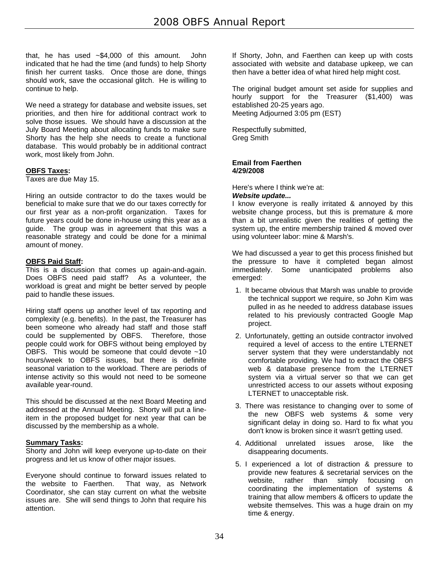that, he has used ~\$4,000 of this amount. John indicated that he had the time (and funds) to help Shorty finish her current tasks. Once those are done, things should work, save the occasional glitch. He is willing to continue to help.

We need a strategy for database and website issues, set priorities, and then hire for additional contract work to solve those issues. We should have a discussion at the July Board Meeting about allocating funds to make sure Shorty has the help she needs to create a functional database. This would probably be in additional contract work, most likely from John.

# **OBFS Taxes:**

Taxes are due May 15.

Hiring an outside contractor to do the taxes would be beneficial to make sure that we do our taxes correctly for our first year as a non-profit organization. Taxes for future years could be done in-house using this year as a guide. The group was in agreement that this was a reasonable strategy and could be done for a minimal amount of money.

# **OBFS Paid Staff:**

This is a discussion that comes up again-and-again. Does OBFS need paid staff? As a volunteer, the workload is great and might be better served by people paid to handle these issues.

Hiring staff opens up another level of tax reporting and complexity (e.g. benefits). In the past, the Treasurer has been someone who already had staff and those staff could be supplemented by OBFS. Therefore, those people could work for OBFS without being employed by OBFS. This would be someone that could devote ~10 hours/week to OBFS issues, but there is definite seasonal variation to the workload. There are periods of intense activity so this would not need to be someone available year-round.

This should be discussed at the next Board Meeting and addressed at the Annual Meeting. Shorty will put a lineitem in the proposed budget for next year that can be discussed by the membership as a whole.

# **Summary Tasks:**

Shorty and John will keep everyone up-to-date on their progress and let us know of other major issues.

Everyone should continue to forward issues related to the website to Faerthen. That way, as Network Coordinator, she can stay current on what the website issues are. She will send things to John that require his attention.

If Shorty, John, and Faerthen can keep up with costs associated with website and database upkeep, we can then have a better idea of what hired help might cost.

The original budget amount set aside for supplies and hourly support for the Treasurer (\$1,400) was established 20-25 years ago. Meeting Adjourned 3:05 pm (EST)

Respectfully submitted, Greg Smith

#### **Email from Faerthen 4/29/2008**

Here's where I think we're at:

#### *Website update...*

I know everyone is really irritated & annoyed by this website change process, but this is premature & more than a bit unrealistic given the realities of getting the system up, the entire membership trained & moved over using volunteer labor: mine & Marsh's.

We had discussed a year to get this process finished but the pressure to have it completed began almost immediately. Some unanticipated problems also emerged:

- 1. It became obvious that Marsh was unable to provide the technical support we require, so John Kim was pulled in as he needed to address database issues related to his previously contracted Google Map project.
- 2. Unfortunately, getting an outside contractor involved required a level of access to the entire LTERNET server system that they were understandably not comfortable providing. We had to extract the OBFS web & database presence from the LTERNET system via a virtual server so that we can get unrestricted access to our assets without exposing LTERNET to unacceptable risk.
- 3. There was resistance to changing over to some of the new OBFS web systems & some very significant delay in doing so. Hard to fix what you don't know is broken since it wasn't getting used.
- 4. Additional unrelated issues arose, like the disappearing documents.
- 5. I experienced a lot of distraction & pressure to provide new features & secretarial services on the website, rather than simply focusing on coordinating the implementation of systems & training that allow members & officers to update the website themselves. This was a huge drain on my time & energy.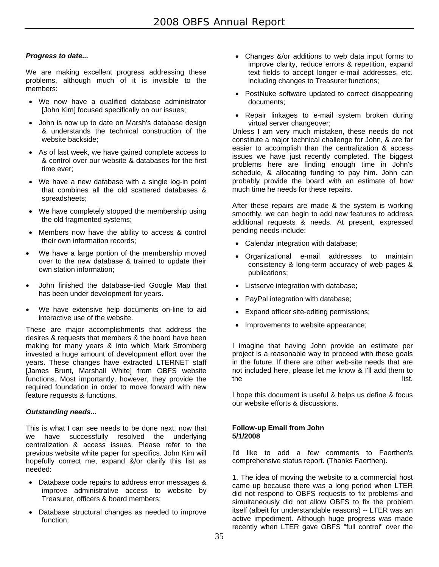# *Progress to date...*

We are making excellent progress addressing these problems, although much of it is invisible to the members:

- We now have a qualified database administrator [John Kim] focused specifically on our issues;
- John is now up to date on Marsh's database design & understands the technical construction of the website backside;
- As of last week, we have gained complete access to & control over our website & databases for the first time ever;
- We have a new database with a single log-in point that combines all the old scattered databases & spreadsheets;
- We have completely stopped the membership using the old fragmented systems;
- Members now have the ability to access & control their own information records;
- We have a large portion of the membership moved over to the new database & trained to update their own station information;
- John finished the database-tied Google Map that has been under development for years.
- We have extensive help documents on-line to aid interactive use of the website.

These are major accomplishments that address the desires & requests that members & the board have been making for many years & into which Mark Stromberg invested a huge amount of development effort over the years. These changes have extracted LTERNET staff [James Brunt, Marshall White] from OBFS website functions. Most importantly, however, they provide the required foundation in order to move forward with new feature requests & functions.

# *Outstanding needs...*

This is what I can see needs to be done next, now that we have successfully resolved the underlying centralization & access issues. Please refer to the previous website white paper for specifics. John Kim will hopefully correct me, expand &/or clarify this list as needed:

- Database code repairs to address error messages & improve administrative access to website by Treasurer, officers & board members;
- Database structural changes as needed to improve function;
- Changes &/or additions to web data input forms to improve clarity, reduce errors & repetition, expand text fields to accept longer e-mail addresses, etc. including changes to Treasurer functions;
- PostNuke software updated to correct disappearing documents;
- Repair linkages to e-mail system broken during virtual server changeover;

Unless I am very much mistaken, these needs do not constitute a major technical challenge for John, & are far easier to accomplish than the centralization & access issues we have just recently completed. The biggest problems here are finding enough time in John's schedule, & allocating funding to pay him. John can probably provide the board with an estimate of how much time he needs for these repairs.

After these repairs are made & the system is working smoothly, we can begin to add new features to address additional requests & needs. At present, expressed pending needs include:

- Calendar integration with database;
- Organizational e-mail addresses to maintain consistency & long-term accuracy of web pages & publications;
- Listserve integration with database;
- PayPal integration with database;
- Expand officer site-editing permissions;
- Improvements to website appearance;

I imagine that having John provide an estimate per project is a reasonable way to proceed with these goals in the future. If there are other web-site needs that are not included here, please let me know & I'll add them to the list.

I hope this document is useful & helps us define & focus our website efforts & discussions.

#### **Follow-up Email from John 5/1/2008**

I'd like to add a few comments to Faerthen's comprehensive status report. (Thanks Faerthen).

1. The idea of moving the website to a commercial host came up because there was a long period when LTER did not respond to OBFS requests to fix problems and simultaneously did not allow OBFS to fix the problem itself (albeit for understandable reasons) -- LTER was an active impediment. Although huge progress was made recently when LTER gave OBFS "full control" over the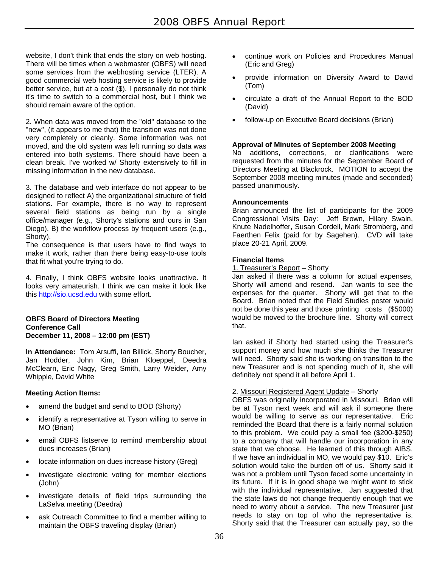website, I don't think that ends the story on web hosting. There will be times when a webmaster (OBFS) will need some services from the webhosting service (LTER). A good commercial web hosting service is likely to provide better service, but at a cost (\$). I personally do not think it's time to switch to a commercial host, but I think we should remain aware of the option.

2. When data was moved from the "old" database to the "new", (it appears to me that) the transition was not done very completely or cleanly. Some information was not moved, and the old system was left running so data was entered into both systems. There should have been a clean break. I've worked w/ Shorty extensively to fill in missing information in the new database.

3. The database and web interface do not appear to be designed to reflect A) the organizational structure of field stations. For example, there is no way to represent several field stations as being run by a single office/manager (e.g., Shorty's stations and ours in San Diego). B) the workflow process by frequent users (e.g., Shorty).

The consequence is that users have to find ways to make it work, rather than there being easy-to-use tools that fit what you're trying to do.

4. Finally, I think OBFS website looks unattractive. It looks very amateurish. I think we can make it look like this http://sio.ucsd.edu with some effort.

#### **OBFS Board of Directors Meeting Conference Call December 11, 2008 – 12:00 pm (EST)**

**In Attendance:** Tom Arsuffi, Ian Billick, Shorty Boucher, Jan Hodder, John Kim, Brian Kloeppel, Deedra McClearn, Eric Nagy, Greg Smith, Larry Weider, Amy Whipple, David White

# **Meeting Action Items:**

- amend the budget and send to BOD (Shorty)
- identify a representative at Tyson willing to serve in MO (Brian)
- email OBFS listserve to remind membership about dues increases (Brian)
- locate information on dues increase history (Greg)
- investigate electronic voting for member elections (John)
- investigate details of field trips surrounding the LaSelva meeting (Deedra)
- ask Outreach Committee to find a member willing to maintain the OBFS traveling display (Brian)
- continue work on Policies and Procedures Manual (Eric and Greg)
- provide information on Diversity Award to David (Tom)
- circulate a draft of the Annual Report to the BOD (David)
- follow-up on Executive Board decisions (Brian)

# **Approval of Minutes of September 2008 Meeting**

No additions, corrections, or clarifications were requested from the minutes for the September Board of Directors Meeting at Blackrock. MOTION to accept the September 2008 meeting minutes (made and seconded) passed unanimously.

# **Announcements**

Brian announced the list of participants for the 2009 Congressional Visits Day: Jeff Brown, Hilary Swain, Knute Nadelhoffer, Susan Cordell, Mark Stromberg, and Faerthen Felix (paid for by Sagehen). CVD will take place 20-21 April, 2009.

# **Financial Items**

1. Treasurer's Report – Shorty

Jan asked if there was a column for actual expenses, Shorty will amend and resend. Jan wants to see the expenses for the quarter. Shorty will get that to the Board. Brian noted that the Field Studies poster would not be done this year and those printing costs (\$5000) would be moved to the brochure line. Shorty will correct that.

Ian asked if Shorty had started using the Treasurer's support money and how much she thinks the Treasurer will need. Shorty said she is working on transition to the new Treasurer and is not spending much of it, she will definitely not spend it all before April 1.

# 2. Missouri Registered Agent Update – Shorty

OBFS was originally incorporated in Missouri. Brian will be at Tyson next week and will ask if someone there would be willing to serve as our representative. Eric reminded the Board that there is a fairly normal solution to this problem. We could pay a small fee (\$200-\$250) to a company that will handle our incorporation in any state that we choose. He learned of this through AIBS. If we have an individual in MO, we would pay \$10. Eric's solution would take the burden off of us. Shorty said it was not a problem until Tyson faced some uncertainty in its future. If it is in good shape we might want to stick with the individual representative. Jan suggested that the state laws do not change frequently enough that we need to worry about a service. The new Treasurer just needs to stay on top of who the representative is. Shorty said that the Treasurer can actually pay, so the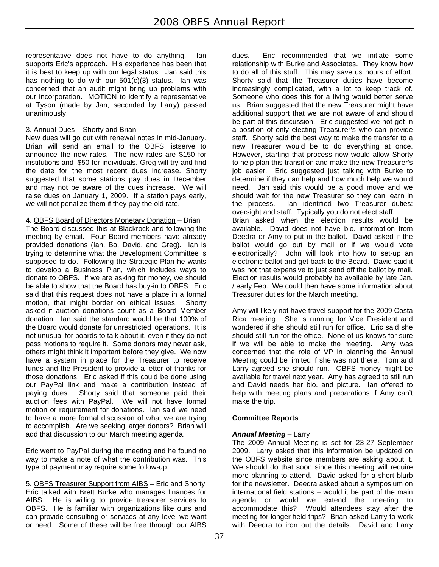representative does not have to do anything. Ian supports Eric's approach. His experience has been that it is best to keep up with our legal status. Jan said this has nothing to do with our 501(c)(3) status. Ian was concerned that an audit might bring up problems with our incorporation. MOTION to identify a representative at Tyson (made by Jan, seconded by Larry) passed unanimously.

# 3. Annual Dues – Shorty and Brian

New dues will go out with renewal notes in mid-January. Brian will send an email to the OBFS listserve to announce the new rates. The new rates are \$150 for institutions and \$50 for individuals. Greg will try and find the date for the most recent dues increase. Shorty suggested that some stations pay dues in December and may not be aware of the dues increase. We will raise dues on January 1, 2009. If a station pays early, we will not penalize them if they pay the old rate.

4. OBFS Board of Directors Monetary Donation – Brian

The Board discussed this at Blackrock and following the meeting by email. Four Board members have already provided donations (Ian, Bo, David, and Greg). Ian is trying to determine what the Development Committee is supposed to do. Following the Strategic Plan he wants to develop a Business Plan, which includes ways to donate to OBFS. If we are asking for money, we should be able to show that the Board has buy-in to OBFS. Eric said that this request does not have a place in a formal motion, that might border on ethical issues. Shorty asked if auction donations count as a Board Member donation. Ian said the standard would be that 100% of the Board would donate for unrestricted operations. It is not unusual for boards to talk about it, even if they do not pass motions to require it. Some donors may never ask, others might think it important before they give. We now have a system in place for the Treasurer to receive funds and the President to provide a letter of thanks for those donations. Eric asked if this could be done using our PayPal link and make a contribution instead of paying dues. Shorty said that someone paid their auction fees with PayPal. We will not have formal motion or requirement for donations. Ian said we need to have a more formal discussion of what we are trying to accomplish. Are we seeking larger donors? Brian will add that discussion to our March meeting agenda.

Eric went to PayPal during the meeting and he found no way to make a note of what the contribution was. This type of payment may require some follow-up.

5. OBFS Treasurer Support from AIBS – Eric and Shorty Eric talked with Brett Burke who manages finances for AIBS. He is willing to provide treasurer services to OBFS. He is familiar with organizations like ours and can provide consulting or services at any level we want or need. Some of these will be free through our AIBS

dues. Eric recommended that we initiate some relationship with Burke and Associates. They know how to do all of this stuff. This may save us hours of effort. Shorty said that the Treasurer duties have become increasingly complicated, with a lot to keep track of. Someone who does this for a living would better serve us. Brian suggested that the new Treasurer might have additional support that we are not aware of and should be part of this discussion. Eric suggested we not get in a position of only electing Treasurer's who can provide staff. Shorty said the best way to make the transfer to a new Treasurer would be to do everything at once. However, starting that process now would allow Shorty to help plan this transition and make the new Treasurer's job easier. Eric suggested just talking with Burke to determine if they can help and how much help we would need. Jan said this would be a good move and we should wait for the new Treasurer so they can learn in the process. Ian identified two Treasurer duties: oversight and staff. Typically you do not elect staff. Brian asked when the election results would be available. David does not have bio. information from Deedra or Amy to put in the ballot. David asked if the ballot would go out by mail or if we would vote electronically? John will look into how to set-up an electronic ballot and get back to the Board. David said it was not that expensive to just send off the ballot by mail. Election results would probably be available by late Jan. / early Feb. We could then have some information about Treasurer duties for the March meeting.

Amy will likely not have travel support for the 2009 Costa Rica meeting. She is running for Vice President and wondered if she should still run for office. Eric said she should still run for the office. None of us knows for sure if we will be able to make the meeting. Amy was concerned that the role of VP in planning the Annual Meeting could be limited if she was not there. Tom and Larry agreed she should run. OBFS money might be available for travel next year. Amy has agreed to still run and David needs her bio. and picture. Ian offered to help with meeting plans and preparations if Amy can't make the trip.

# **Committee Reports**

# *Annual Meeting* – Larry

The 2009 Annual Meeting is set for 23-27 September 2009. Larry asked that this information be updated on the OBFS website since members are asking about it. We should do that soon since this meeting will require more planning to attend. David asked for a short blurb for the newsletter. Deedra asked about a symposium on international field stations – would it be part of the main agenda or would we extend the meeting to accommodate this? Would attendees stay after the meeting for longer field trips? Brian asked Larry to work with Deedra to iron out the details. David and Larry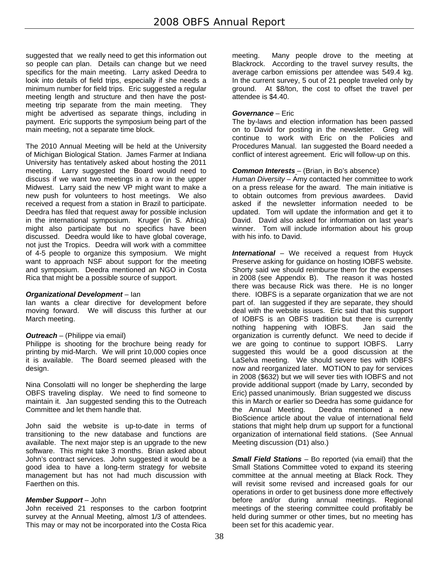suggested that we really need to get this information out so people can plan. Details can change but we need specifics for the main meeting. Larry asked Deedra to look into details of field trips, especially if she needs a minimum number for field trips. Eric suggested a regular meeting length and structure and then have the postmeeting trip separate from the main meeting. They might be advertised as separate things, including in payment. Eric supports the symposium being part of the main meeting, not a separate time block.

The 2010 Annual Meeting will be held at the University of Michigan Biological Station. James Farmer at Indiana University has tentatively asked about hosting the 2011 meeting. Larry suggested the Board would need to discuss if we want two meetings in a row in the upper Midwest. Larry said the new VP might want to make a new push for volunteers to host meetings. We also received a request from a station in Brazil to participate. Deedra has filed that request away for possible inclusion in the international symposium. Kruger (in S. Africa) might also participate but no specifics have been discussed. Deedra would like to have global coverage, not just the Tropics. Deedra will work with a committee of 4-5 people to organize this symposium. We might want to approach NSF about support for the meeting and symposium. Deedra mentioned an NGO in Costa Rica that might be a possible source of support.

#### *Organizational Development* – Ian

Ian wants a clear directive for development before moving forward. We will discuss this further at our March meeting.

# *Outreach* – (Philippe via email)

Philippe is shooting for the brochure being ready for printing by mid-March. We will print 10,000 copies once it is available. The Board seemed pleased with the design.

Nina Consolatti will no longer be shepherding the large OBFS traveling display. We need to find someone to maintain it. Jan suggested sending this to the Outreach Committee and let them handle that.

John said the website is up-to-date in terms of transitioning to the new database and functions are available. The next major step is an upgrade to the new software. This might take 3 months. Brian asked about John's contract services. John suggested it would be a good idea to have a long-term strategy for website management but has not had much discussion with Faerthen on this.

# *Member Support* – John

John received 21 responses to the carbon footprint survey at the Annual Meeting, almost 1/3 of attendees. This may or may not be incorporated into the Costa Rica

meeting. Many people drove to the meeting at Blackrock. According to the travel survey results, the average carbon emissions per attendee was 549.4 kg. In the current survey, 5 out of 21 people traveled only by ground. At \$8/ton, the cost to offset the travel per attendee is \$4.40.

# *Governance* – Eric

The by-laws and election information has been passed on to David for posting in the newsletter. Greg will continue to work with Eric on the Policies and Procedures Manual. Ian suggested the Board needed a conflict of interest agreement. Eric will follow-up on this.

# *Common Interests* – (Brian, in Bo's absence)

*Human Diversity* – Amy contacted her committee to work on a press release for the award. The main initiative is to obtain outcomes from previous awardees. David asked if the newsletter information needed to be updated. Tom will update the information and get it to David. David also asked for information on last year's winner. Tom will include information about his group with his info. to David.

*International* – We received a request from Huyck Preserve asking for guidance on hosting IOBFS website. Shorty said we should reimburse them for the expenses in 2008 (see Appendix B). The reason it was hosted there was because Rick was there. He is no longer there. IOBFS is a separate organization that we are not part of. Ian suggested if they are separate, they should deal with the website issues. Eric said that this support of IOBFS is an OBFS tradition but there is currently nothing happening with IOBFS. Jan said the organization is currently defunct. We need to decide if we are going to continue to support IOBFS. Larry suggested this would be a good discussion at the LaSelva meeting. We should severe ties with IOBFS now and reorganized later. MOTION to pay for services in 2008 (\$632) but we will sever ties with IOBFS and not provide additional support (made by Larry, seconded by Eric) passed unanimously. Brian suggested we discuss this in March or earlier so Deedra has some guidance for the Annual Meeting. Deedra mentioned a new BioScience article about the value of international field stations that might help drum up support for a functional organization of international field stations. (See Annual Meeting discussion (D1) also.)

*Small Field Stations* – Bo reported (via email) that the Small Stations Committee voted to expand its steering committee at the annual meeting at Black Rock. They will revisit some revised and increased goals for our operations in order to get business done more effectively before and/or during annual meetings. Regional meetings of the steering committee could profitably be held during summer or other times, but no meeting has been set for this academic year.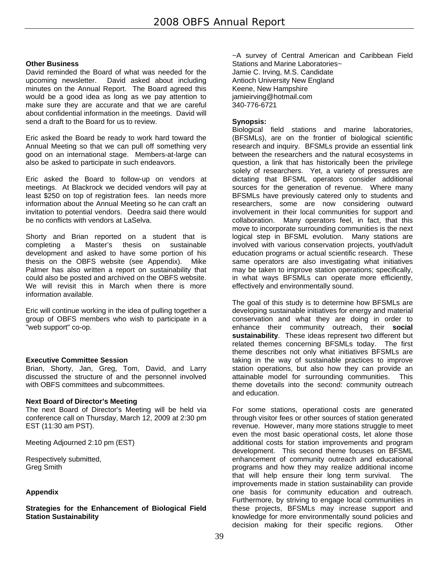#### **Other Business**

David reminded the Board of what was needed for the upcoming newsletter. David asked about including minutes on the Annual Report. The Board agreed this would be a good idea as long as we pay attention to make sure they are accurate and that we are careful about confidential information in the meetings. David will send a draft to the Board for us to review.

Eric asked the Board be ready to work hard toward the Annual Meeting so that we can pull off something very good on an international stage. Members-at-large can also be asked to participate in such endeavors.

Eric asked the Board to follow-up on vendors at meetings. At Blackrock we decided vendors will pay at least \$250 on top of registration fees. Ian needs more information about the Annual Meeting so he can craft an invitation to potential vendors. Deedra said there would be no conflicts with vendors at LaSelva.

Shorty and Brian reported on a student that is completing a Master's thesis on sustainable development and asked to have some portion of his thesis on the OBFS website (see Appendix). Mike Palmer has also written a report on sustainability that could also be posted and archived on the OBFS website. We will revisit this in March when there is more information available.

Eric will continue working in the idea of pulling together a group of OBFS members who wish to participate in a "web support" co-op.

# **Executive Committee Session**

Brian, Shorty, Jan, Greg, Tom, David, and Larry discussed the structure of and the personnel involved with OBFS committees and subcommittees.

#### **Next Board of Director's Meeting**

The next Board of Director's Meeting will be held via conference call on Thursday, March 12, 2009 at 2:30 pm EST (11:30 am PST).

Meeting Adjourned 2:10 pm (EST)

Respectively submitted, Greg Smith

# **Appendix**

**Strategies for the Enhancement of Biological Field Station Sustainability** 

~A survey of Central American and Caribbean Field Stations and Marine Laboratories~ Jamie C. Irving, M.S. Candidate Antioch University New England Keene, New Hampshire jamieirving@hotmail.com 340-776-6721

#### **Synopsis:**

Biological field stations and marine laboratories, (BFSMLs), are on the frontier of biological scientific research and inquiry. BFSMLs provide an essential link between the researchers and the natural ecosystems in question, a link that has historically been the privilege solely of researchers. Yet, a variety of pressures are dictating that BFSML operators consider additional sources for the generation of revenue. Where many BFSMLs have previously catered only to students and researchers, some are now considering outward involvement in their local communities for support and collaboration. Many operators feel, in fact, that this move to incorporate surrounding communities is the next logical step in BFSML evolution. Many stations are involved with various conservation projects, youth/adult education programs or actual scientific research. These same operators are also investigating what initiatives may be taken to improve station operations; specifically, in what ways BFSMLs can operate more efficiently, effectively and environmentally sound.

The goal of this study is to determine how BFSMLs are developing sustainable initiatives for energy and material conservation and what they are doing in order to enhance their community outreach, their **social sustainability**. These ideas represent two different but related themes concerning BFSMLs today. The first theme describes not only what initiatives BFSMLs are taking in the way of sustainable practices to improve station operations, but also how they can provide an attainable model for surrounding communities. This theme dovetails into the second: community outreach and education.

For some stations, operational costs are generated through visitor fees or other sources of station generated revenue. However, many more stations struggle to meet even the most basic operational costs, let alone those additional costs for station improvements and program development. This second theme focuses on BFSML enhancement of community outreach and educational programs and how they may realize additional income that will help ensure their long term survival. The improvements made in station sustainability can provide one basis for community education and outreach. Furthermore, by striving to engage local communities in these projects, BFSMLs may increase support and knowledge for more environmentally sound policies and decision making for their specific regions. Other